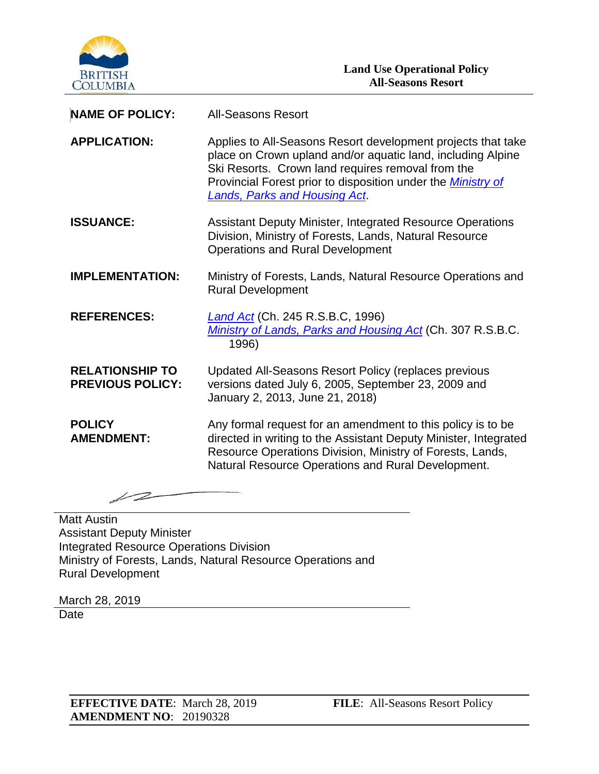

| <b>NAME OF POLICY:</b>                            | <b>All-Seasons Resort</b>                                                                                                                                                                                                                                                                       |
|---------------------------------------------------|-------------------------------------------------------------------------------------------------------------------------------------------------------------------------------------------------------------------------------------------------------------------------------------------------|
| <b>APPLICATION:</b>                               | Applies to All-Seasons Resort development projects that take<br>place on Crown upland and/or aquatic land, including Alpine<br>Ski Resorts. Crown land requires removal from the<br>Provincial Forest prior to disposition under the <b>Ministry of</b><br><b>Lands, Parks and Housing Act.</b> |
| <b>ISSUANCE:</b>                                  | <b>Assistant Deputy Minister, Integrated Resource Operations</b><br>Division, Ministry of Forests, Lands, Natural Resource<br><b>Operations and Rural Development</b>                                                                                                                           |
| <b>IMPLEMENTATION:</b>                            | Ministry of Forests, Lands, Natural Resource Operations and<br><b>Rural Development</b>                                                                                                                                                                                                         |
| <b>REFERENCES:</b>                                | <b>Land Act (Ch. 245 R.S.B.C, 1996)</b><br>Ministry of Lands, Parks and Housing Act (Ch. 307 R.S.B.C.<br>1996)                                                                                                                                                                                  |
| <b>RELATIONSHIP TO</b><br><b>PREVIOUS POLICY:</b> | Updated All-Seasons Resort Policy (replaces previous<br>versions dated July 6, 2005, September 23, 2009 and<br>January 2, 2013, June 21, 2018)                                                                                                                                                  |
| <b>POLICY</b><br><b>AMENDMENT:</b>                | Any formal request for an amendment to this policy is to be<br>directed in writing to the Assistant Deputy Minister, Integrated<br>Resource Operations Division, Ministry of Forests, Lands,<br>Natural Resource Operations and Rural Development.                                              |

12

**Matt Austin** Assistant Deputy Minister Integrated Resource Operations Division Ministry of Forests, Lands, Natural Resource Operations and Rural Development

March 28, 2019 **Date**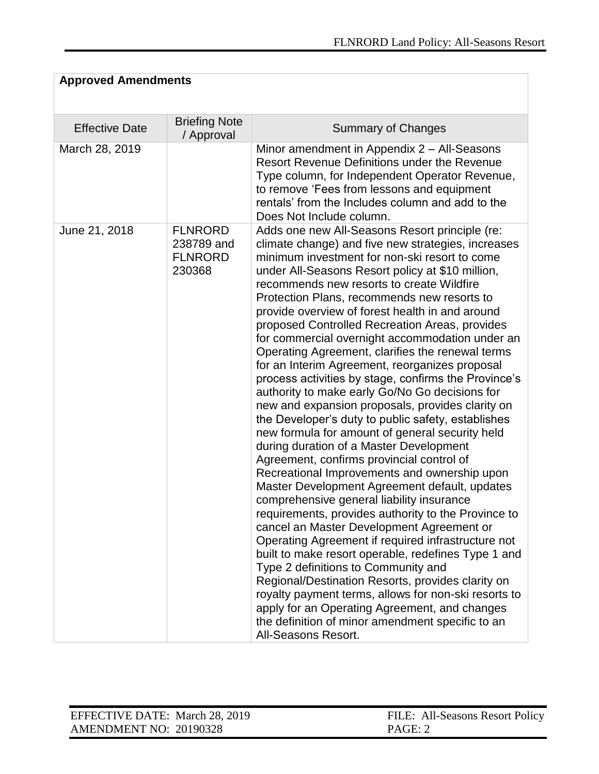# **Approved Amendments**

| <b>Effective Date</b> | <b>Briefing Note</b>                                     | <b>Summary of Changes</b>                                                                                                                                                                                                                                                                                                                                                                                                                                                                                                                                                                                                                                                                                                                                                                                                                                                                                                                                                                                                                                                                                                                                                                                                                                                                                                                                                                                                                                                                                                                                                         |
|-----------------------|----------------------------------------------------------|-----------------------------------------------------------------------------------------------------------------------------------------------------------------------------------------------------------------------------------------------------------------------------------------------------------------------------------------------------------------------------------------------------------------------------------------------------------------------------------------------------------------------------------------------------------------------------------------------------------------------------------------------------------------------------------------------------------------------------------------------------------------------------------------------------------------------------------------------------------------------------------------------------------------------------------------------------------------------------------------------------------------------------------------------------------------------------------------------------------------------------------------------------------------------------------------------------------------------------------------------------------------------------------------------------------------------------------------------------------------------------------------------------------------------------------------------------------------------------------------------------------------------------------------------------------------------------------|
| March 28, 2019        | / Approval                                               | Minor amendment in Appendix 2 – All-Seasons<br>Resort Revenue Definitions under the Revenue<br>Type column, for Independent Operator Revenue,<br>to remove 'Fees from lessons and equipment<br>rentals' from the Includes column and add to the<br>Does Not Include column.                                                                                                                                                                                                                                                                                                                                                                                                                                                                                                                                                                                                                                                                                                                                                                                                                                                                                                                                                                                                                                                                                                                                                                                                                                                                                                       |
| June 21, 2018         | <b>FLNRORD</b><br>238789 and<br><b>FLNRORD</b><br>230368 | Adds one new All-Seasons Resort principle (re:<br>climate change) and five new strategies, increases<br>minimum investment for non-ski resort to come<br>under All-Seasons Resort policy at \$10 million,<br>recommends new resorts to create Wildfire<br>Protection Plans, recommends new resorts to<br>provide overview of forest health in and around<br>proposed Controlled Recreation Areas, provides<br>for commercial overnight accommodation under an<br>Operating Agreement, clarifies the renewal terms<br>for an Interim Agreement, reorganizes proposal<br>process activities by stage, confirms the Province's<br>authority to make early Go/No Go decisions for<br>new and expansion proposals, provides clarity on<br>the Developer's duty to public safety, establishes<br>new formula for amount of general security held<br>during duration of a Master Development<br>Agreement, confirms provincial control of<br>Recreational Improvements and ownership upon<br>Master Development Agreement default, updates<br>comprehensive general liability insurance<br>requirements, provides authority to the Province to<br>cancel an Master Development Agreement or<br>Operating Agreement if required infrastructure not<br>built to make resort operable, redefines Type 1 and<br>Type 2 definitions to Community and<br>Regional/Destination Resorts, provides clarity on<br>royalty payment terms, allows for non-ski resorts to<br>apply for an Operating Agreement, and changes<br>the definition of minor amendment specific to an<br>All-Seasons Resort. |

| EFFECTIVE DATE: March 28, 2019 | FILE: All-Seasons Resort Policy |
|--------------------------------|---------------------------------|
| AMENDMENT NO: 20190328         | PAGE: 2                         |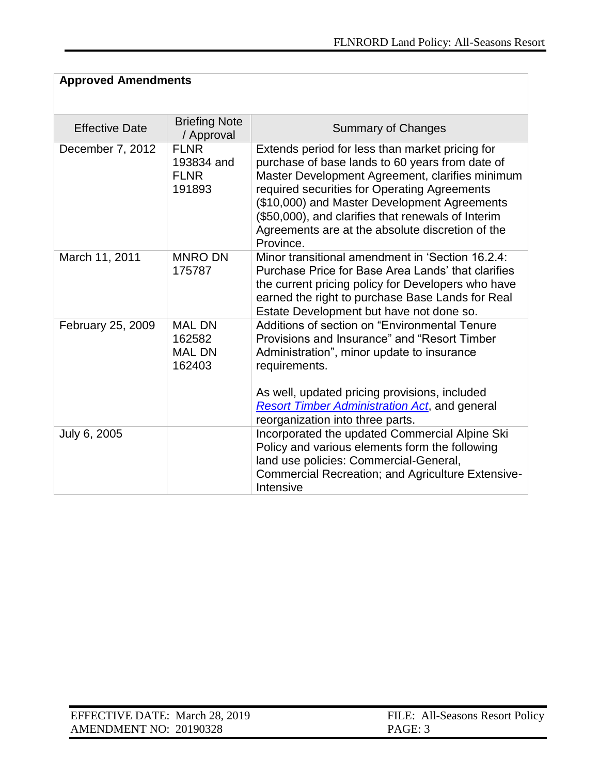| <b>Approved Amendments</b> |                                                    |                                                                                                                                                                                                                                                                                                                                                                              |  |
|----------------------------|----------------------------------------------------|------------------------------------------------------------------------------------------------------------------------------------------------------------------------------------------------------------------------------------------------------------------------------------------------------------------------------------------------------------------------------|--|
| <b>Effective Date</b>      | <b>Briefing Note</b><br>/ Approval                 | <b>Summary of Changes</b>                                                                                                                                                                                                                                                                                                                                                    |  |
| December 7, 2012           | <b>FLNR</b><br>193834 and<br><b>FLNR</b><br>191893 | Extends period for less than market pricing for<br>purchase of base lands to 60 years from date of<br>Master Development Agreement, clarifies minimum<br>required securities for Operating Agreements<br>(\$10,000) and Master Development Agreements<br>(\$50,000), and clarifies that renewals of Interim<br>Agreements are at the absolute discretion of the<br>Province. |  |
| March 11, 2011             | <b>MNRO DN</b><br>175787                           | Minor transitional amendment in 'Section 16.2.4:<br>Purchase Price for Base Area Lands' that clarifies<br>the current pricing policy for Developers who have<br>earned the right to purchase Base Lands for Real<br>Estate Development but have not done so.                                                                                                                 |  |
| February 25, 2009          | <b>MAL DN</b><br>162582<br><b>MAL DN</b><br>162403 | Additions of section on "Environmental Tenure<br>Provisions and Insurance" and "Resort Timber<br>Administration", minor update to insurance<br>requirements.<br>As well, updated pricing provisions, included<br><b>Resort Timber Administration Act, and general</b><br>reorganization into three parts.                                                                    |  |
| July 6, 2005               |                                                    | Incorporated the updated Commercial Alpine Ski<br>Policy and various elements form the following<br>land use policies: Commercial-General,<br>Commercial Recreation; and Agriculture Extensive-<br>Intensive                                                                                                                                                                 |  |

| EFFECTIVE DATE: March 28, 2019 | FILE: All-Seasons Resort Policy |
|--------------------------------|---------------------------------|
| AMENDMENT NO: 20190328         | PAGE: 3                         |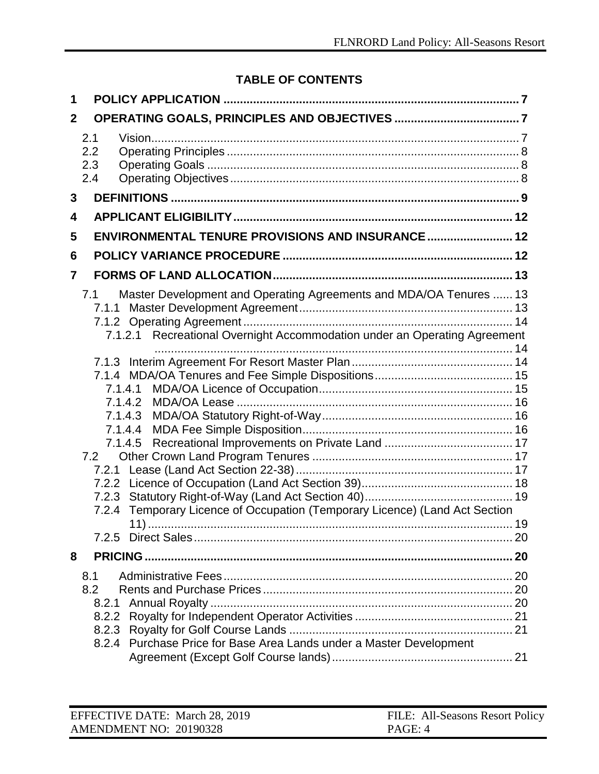# **TABLE OF CONTENTS**

| 1                            |                                                                                                                                                                                                                                                                                    |    |
|------------------------------|------------------------------------------------------------------------------------------------------------------------------------------------------------------------------------------------------------------------------------------------------------------------------------|----|
| $\mathbf{2}$                 |                                                                                                                                                                                                                                                                                    |    |
| 2.1<br>2.2<br>2.3<br>2.4     |                                                                                                                                                                                                                                                                                    |    |
| 3                            |                                                                                                                                                                                                                                                                                    |    |
| 4                            |                                                                                                                                                                                                                                                                                    |    |
| 5                            | ENVIRONMENTAL TENURE PROVISIONS AND INSURANCE 12                                                                                                                                                                                                                                   |    |
| 6                            |                                                                                                                                                                                                                                                                                    |    |
| 7                            |                                                                                                                                                                                                                                                                                    |    |
| 7.1<br>7.2<br>7.2.3<br>7.2.4 | Master Development and Operating Agreements and MDA/OA Tenures  13<br>Recreational Overnight Accommodation under an Operating Agreement<br>7.1.2.1<br>7.1.4.1<br>7.1.4.2<br>7.1.4.3<br>7.1.4.4<br>7.1.4.5<br>Temporary Licence of Occupation (Temporary Licence) (Land Act Section |    |
|                              |                                                                                                                                                                                                                                                                                    | 20 |
| 8                            |                                                                                                                                                                                                                                                                                    |    |
| 8.1<br>8.2<br>8.2.1<br>8.2.2 | 8.2.4 Purchase Price for Base Area Lands under a Master Development                                                                                                                                                                                                                |    |

| EFFECTIVE DATE: March 28, 2019 | FILE: All-Seasons Resort Policy |
|--------------------------------|---------------------------------|
| AMENDMENT NO: 20190328         | PAGE: 4                         |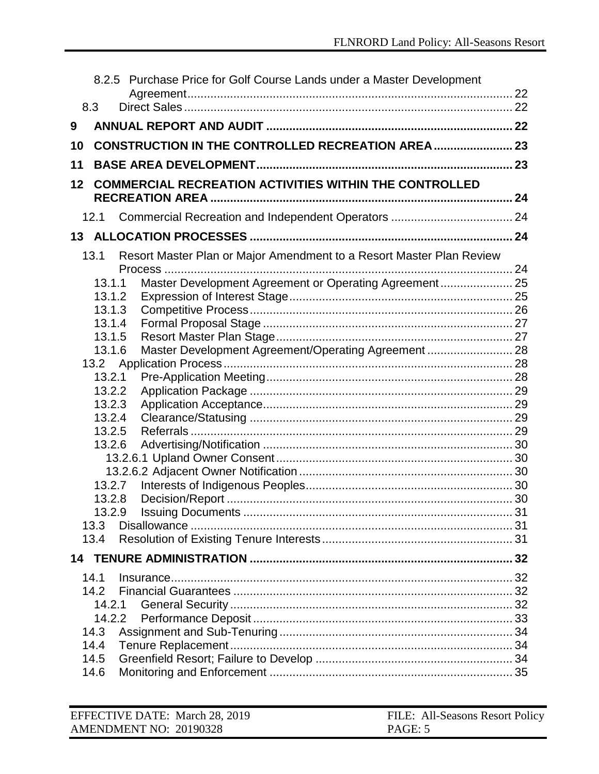|    |                  | 8.2.5 Purchase Price for Golf Course Lands under a Master Development |  |
|----|------------------|-----------------------------------------------------------------------|--|
|    | 8.3              |                                                                       |  |
| 9  |                  |                                                                       |  |
| 10 |                  | <b>CONSTRUCTION IN THE CONTROLLED RECREATION AREA  23</b>             |  |
| 11 |                  |                                                                       |  |
| 12 |                  | <b>COMMERCIAL RECREATION ACTIVITIES WITHIN THE CONTROLLED</b>         |  |
|    |                  |                                                                       |  |
|    | 12.1             |                                                                       |  |
|    |                  |                                                                       |  |
|    | 13.1             | Resort Master Plan or Major Amendment to a Resort Master Plan Review  |  |
|    | 13.1.1           | Master Development Agreement or Operating Agreement 25                |  |
|    | 13.1.2           |                                                                       |  |
|    | 13.1.3           |                                                                       |  |
|    | 13.1.4<br>13.1.5 |                                                                       |  |
|    | 13.1.6           | Master Development Agreement/Operating Agreement  28                  |  |
|    |                  |                                                                       |  |
|    | 13.2.1           |                                                                       |  |
|    | 13.2.2           |                                                                       |  |
|    | 13.2.3<br>13.2.4 |                                                                       |  |
|    | 13.2.5           |                                                                       |  |
|    | 13.2.6           |                                                                       |  |
|    |                  |                                                                       |  |
|    |                  |                                                                       |  |
|    |                  | 13.2.7                                                                |  |
|    | 13.2.8           |                                                                       |  |
|    | 13.2.9<br>13.3   |                                                                       |  |
|    | 13.4             |                                                                       |  |
|    |                  |                                                                       |  |
|    |                  |                                                                       |  |
|    | 14.1             |                                                                       |  |
|    | 14.2<br>14.2.1   |                                                                       |  |
|    | 14.2.2           |                                                                       |  |
|    | 14.3             |                                                                       |  |
|    | 14.4             |                                                                       |  |
|    | 14.5             |                                                                       |  |
|    | 14.6             |                                                                       |  |

| EFFECTIVE DATE: March 28, 2019 | FILE: All-Seasons Resort Policy |
|--------------------------------|---------------------------------|
| AMENDMENT NO: 20190328         | PAGE: 5                         |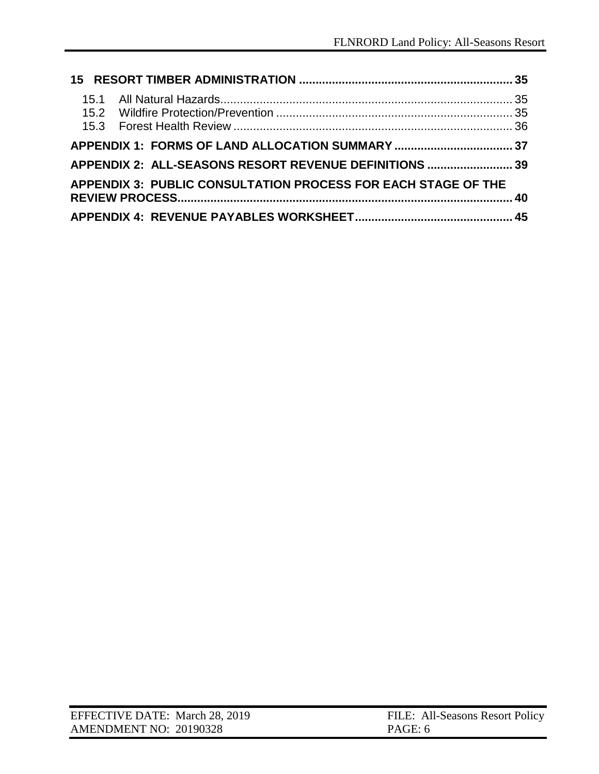| APPENDIX 2: ALL-SEASONS RESORT REVENUE DEFINITIONS  39        |  |
|---------------------------------------------------------------|--|
| APPENDIX 3: PUBLIC CONSULTATION PROCESS FOR EACH STAGE OF THE |  |
|                                                               |  |

| EFFECTIVE DATE: March 28, 2019 | FILE: All-Seasons Resort Policy |
|--------------------------------|---------------------------------|
| AMENDMENT NO: 20190328         | PAGE: 6                         |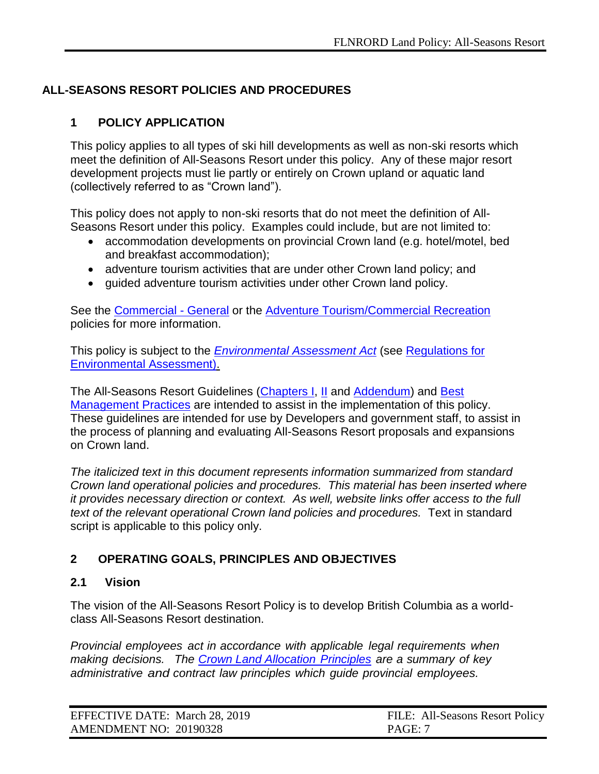# **ALL-SEASONS RESORT POLICIES AND PROCEDURES**

### <span id="page-6-0"></span>**1 POLICY APPLICATION**

This policy applies to all types of ski hill developments as well as non-ski resorts which meet the definition of All-Seasons Resort under this policy. Any of these major resort development projects must lie partly or entirely on Crown upland or aquatic land (collectively referred to as "Crown land").

This policy does not apply to non-ski resorts that do not meet the definition of All-Seasons Resort under this policy. Examples could include, but are not limited to:

- accommodation developments on provincial Crown land (e.g. hotel/motel, bed and breakfast accommodation);
- adventure tourism activities that are under other Crown land policy; and
- guided adventure tourism activities under other Crown land policy.

See the [Commercial -](https://www2.gov.bc.ca/assets/gov/farming-natural-resources-and-industry/natural-resource-use/land-water-use/crown-land/commercial_general.pdf) General or the [Adventure Tourism/Commercial Recreation](https://www2.gov.bc.ca/assets/gov/farming-natural-resources-and-industry/natural-resource-use/land-water-use/crown-land/adventure_tourism.pdf) policies for more information.

This policy is subject to the *[Environmental Assessment Act](http://www.qp.gov.bc.ca/statreg/stat/E/02043_01.htm)* (see [Regulations for](https://www.canada.ca/en/environmental-assessment-agency/corporate/acts-regulations/legislation-regulations.html)  [Environmental Assessment\).](https://www.canada.ca/en/environmental-assessment-agency/corporate/acts-regulations/legislation-regulations.html)

The All-Seasons Resort Guidelines [\(Chapters I,](http://www2.gov.bc.ca/assets/gov/farming-natural-resources-and-industry/natural-resource-use/all-seasons-resorts/asr_guidelines_c1.pdf) [II](http://www2.gov.bc.ca/assets/gov/farming-natural-resources-and-industry/natural-resource-use/all-seasons-resorts/chapter_2-mountain_resorts_amended_aug_25_2009.pdf) and [Addendum\)](https://www.for.gov.bc.ca/ftp/mountain_resorts/external/!publish/web/asr/ASR_Guidelines_addendum.pdf) and [Best](http://www2.gov.bc.ca/assets/gov/farming-natural-resources-and-industry/natural-resource-use/all-seasons-resorts/bp_final.pdf)  [Management Practices](http://www2.gov.bc.ca/assets/gov/farming-natural-resources-and-industry/natural-resource-use/all-seasons-resorts/bp_final.pdf) are intended to assist in the implementation of this policy. These guidelines are intended for use by Developers and government staff, to assist in the process of planning and evaluating All-Seasons Resort proposals and expansions on Crown land.

*The italicized text in this document represents information summarized from standard Crown land operational policies and procedures. This material has been inserted where it provides necessary direction or context. As well, website links offer access to the full*  text of the relevant operational Crown land policies and procedures. Text in standard script is applicable to this policy only.

#### <span id="page-6-1"></span>**2 OPERATING GOALS, PRINCIPLES AND OBJECTIVES**

#### <span id="page-6-2"></span>**2.1 Vision**

The vision of the All-Seasons Resort Policy is to develop British Columbia as a worldclass All-Seasons Resort destination.

*Provincial employees act in accordance with applicable legal requirements when making decisions. The [Crown Land Allocation](https://www2.gov.bc.ca/assets/gov/farming-natural-resources-and-industry/natural-resource-use/land-water-use/crown-land/allocation_principles.pdf) Principles are a summary of key administrative and contract law principles which guide provincial employees.*

| EFFECTIVE DATE: March 28, 2019 | FILE: All-Seasons Resort Policy |
|--------------------------------|---------------------------------|
| AMENDMENT NO: 20190328         | PAGE: 7                         |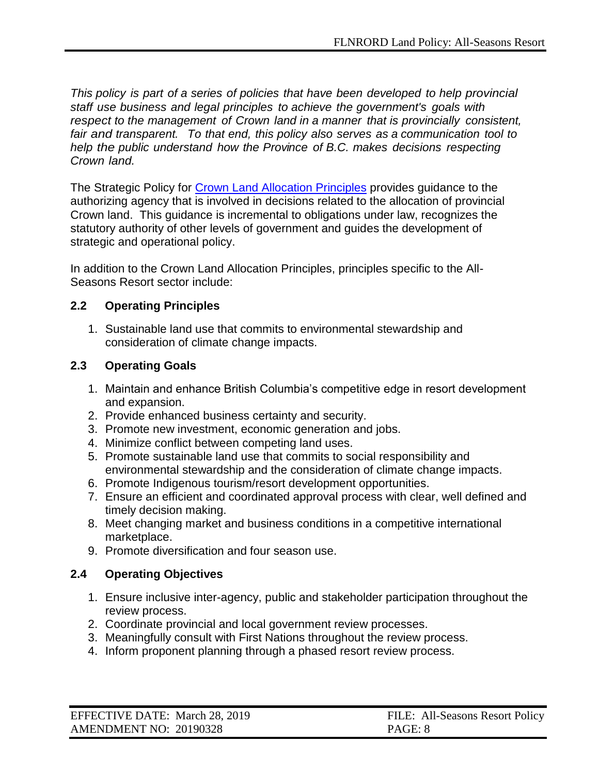*This policy is part of a series of policies that have been developed to help provincial staff use business and legal principles to achieve the government's goals with respect to the management of Crown land in a manner that is provincially consistent, fair and transparent. To that end, this policy also serves as a communication tool to help the public understand how the Province of B.C. makes decisions respecting Crown land.*

The Strategic Policy for [Crown Land Allocation Principles](http://www2.gov.bc.ca/assets/gov/farming-natural-resources-and-industry/natural-resource-use/land-water-use/crown-land/allocation_principles.pdf) provides guidance to the authorizing agency that is involved in decisions related to the allocation of provincial Crown land. This guidance is incremental to obligations under law, recognizes the statutory authority of other levels of government and guides the development of strategic and operational policy.

In addition to the Crown Land Allocation Principles, principles specific to the All-Seasons Resort sector include:

### <span id="page-7-0"></span>**2.2 Operating Principles**

1. Sustainable land use that commits to environmental stewardship and consideration of climate change impacts.

### <span id="page-7-1"></span>**2.3 Operating Goals**

- 1. Maintain and enhance British Columbia's competitive edge in resort development and expansion.
- 2. Provide enhanced business certainty and security.
- 3. Promote new investment, economic generation and jobs.
- 4. Minimize conflict between competing land uses.
- 5. Promote sustainable land use that commits to social responsibility and environmental stewardship and the consideration of climate change impacts.
- 6. Promote Indigenous tourism/resort development opportunities.
- 7. Ensure an efficient and coordinated approval process with clear, well defined and timely decision making.
- 8. Meet changing market and business conditions in a competitive international marketplace.
- 9. Promote diversification and four season use.

# <span id="page-7-2"></span>**2.4 Operating Objectives**

- 1. Ensure inclusive inter-agency, public and stakeholder participation throughout the review process.
- 2. Coordinate provincial and local government review processes.
- 3. Meaningfully consult with First Nations throughout the review process.
- 4. Inform proponent planning through a phased resort review process.

| EFFECTIVE DATE: March 28, 2019 | FILE: All-Seasons Resort Policy |
|--------------------------------|---------------------------------|
| AMENDMENT NO: 20190328         | PAGE: 8                         |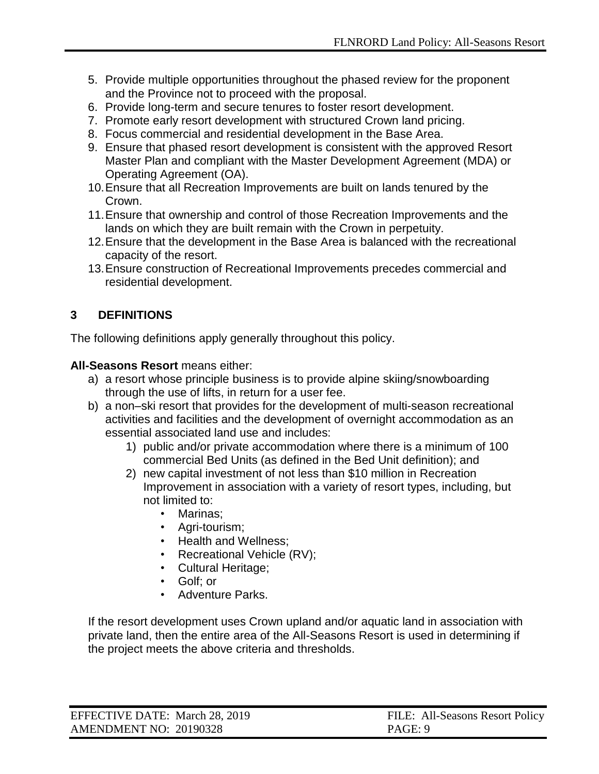- 5. Provide multiple opportunities throughout the phased review for the proponent and the Province not to proceed with the proposal.
- 6. Provide long-term and secure tenures to foster resort development.
- 7. Promote early resort development with structured Crown land pricing.
- 8. Focus commercial and residential development in the Base Area.
- 9. Ensure that phased resort development is consistent with the approved Resort Master Plan and compliant with the Master Development Agreement (MDA) or Operating Agreement (OA).
- 10.Ensure that all Recreation Improvements are built on lands tenured by the Crown.
- 11.Ensure that ownership and control of those Recreation Improvements and the lands on which they are built remain with the Crown in perpetuity.
- 12.Ensure that the development in the Base Area is balanced with the recreational capacity of the resort.
- 13.Ensure construction of Recreational Improvements precedes commercial and residential development.

# <span id="page-8-0"></span>**3 DEFINITIONS**

The following definitions apply generally throughout this policy.

#### **All-Seasons Resort** means either:

- a) a resort whose principle business is to provide alpine skiing/snowboarding through the use of lifts, in return for a user fee.
- b) a non–ski resort that provides for the development of multi-season recreational activities and facilities and the development of overnight accommodation as an essential associated land use and includes:
	- 1) public and/or private accommodation where there is a minimum of 100 commercial Bed Units (as defined in the Bed Unit definition); and
	- 2) new capital investment of not less than \$10 million in Recreation Improvement in association with a variety of resort types, including, but not limited to:
		- Marinas;
		- Agri-tourism;
		- Health and Wellness;
		- Recreational Vehicle (RV);
		- Cultural Heritage;
		- Golf; or
		- Adventure Parks.

If the resort development uses Crown upland and/or aquatic land in association with private land, then the entire area of the All-Seasons Resort is used in determining if the project meets the above criteria and thresholds.

| EFFECTIVE DATE: March 28, 2019 | FILE: All-Seasons Resort Policy |
|--------------------------------|---------------------------------|
| AMENDMENT NO: 20190328         | PAGE: 9                         |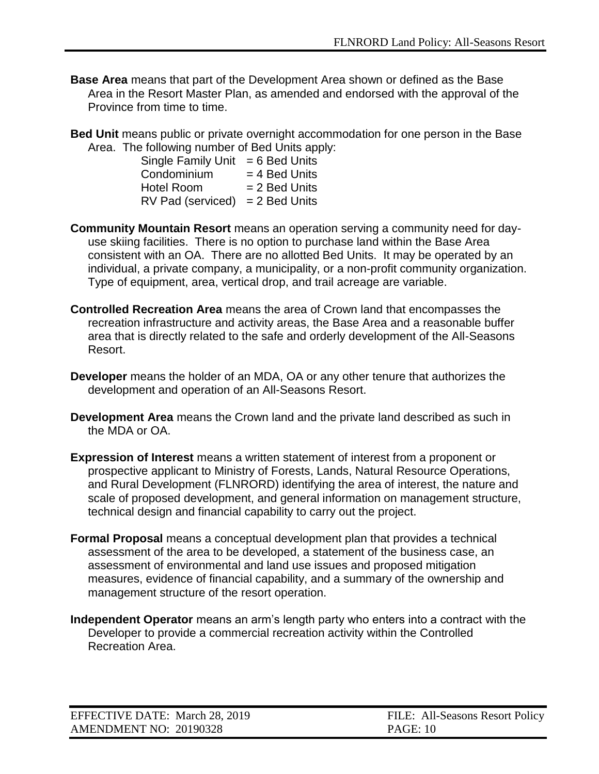- **Base Area** means that part of the Development Area shown or defined as the Base Area in the Resort Master Plan, as amended and endorsed with the approval of the Province from time to time.
- **Bed Unit** means public or private overnight accommodation for one person in the Base Area. The following number of Bed Units apply:

| <b>Single Family Unit</b> | $= 6$ Bed Units |
|---------------------------|-----------------|
| Condominium               | $= 4$ Bed Units |
| <b>Hotel Room</b>         | $= 2$ Bed Units |
| RV Pad (serviced)         | $= 2$ Bed Units |

- **Community Mountain Resort** means an operation serving a community need for dayuse skiing facilities. There is no option to purchase land within the Base Area consistent with an OA. There are no allotted Bed Units. It may be operated by an individual, a private company, a municipality, or a non-profit community organization. Type of equipment, area, vertical drop, and trail acreage are variable.
- **Controlled Recreation Area** means the area of Crown land that encompasses the recreation infrastructure and activity areas, the Base Area and a reasonable buffer area that is directly related to the safe and orderly development of the All-Seasons Resort.
- **Developer** means the holder of an MDA, OA or any other tenure that authorizes the development and operation of an All-Seasons Resort.
- **Development Area** means the Crown land and the private land described as such in the MDA or OA.
- **Expression of Interest** means a written statement of interest from a proponent or prospective applicant to Ministry of Forests, Lands, Natural Resource Operations, and Rural Development (FLNRORD) identifying the area of interest, the nature and scale of proposed development, and general information on management structure, technical design and financial capability to carry out the project.
- **Formal Proposal** means a conceptual development plan that provides a technical assessment of the area to be developed, a statement of the business case, an assessment of environmental and land use issues and proposed mitigation measures, evidence of financial capability, and a summary of the ownership and management structure of the resort operation.
- **Independent Operator** means an arm's length party who enters into a contract with the Developer to provide a commercial recreation activity within the Controlled Recreation Area.

| EFFECTIVE DATE: March 28, 2019 | FILE: All-Seasons Resort Policy |
|--------------------------------|---------------------------------|
| AMENDMENT NO: 20190328         | <b>PAGE: 10</b>                 |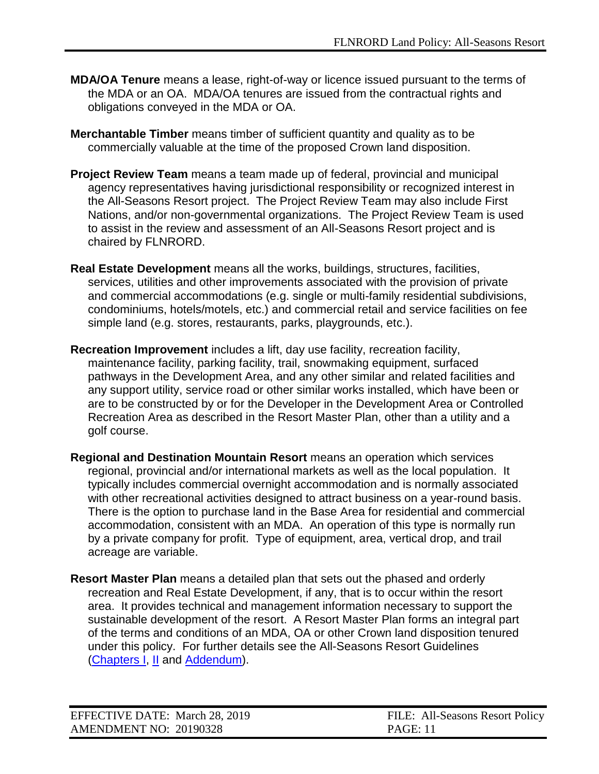- **MDA/OA Tenure** means a lease, right-of-way or licence issued pursuant to the terms of the MDA or an OA. MDA/OA tenures are issued from the contractual rights and obligations conveyed in the MDA or OA.
- **Merchantable Timber** means timber of sufficient quantity and quality as to be commercially valuable at the time of the proposed Crown land disposition.
- **Project Review Team** means a team made up of federal, provincial and municipal agency representatives having jurisdictional responsibility or recognized interest in the All-Seasons Resort project. The Project Review Team may also include First Nations, and/or non-governmental organizations. The Project Review Team is used to assist in the review and assessment of an All-Seasons Resort project and is chaired by FLNRORD.
- **Real Estate Development** means all the works, buildings, structures, facilities, services, utilities and other improvements associated with the provision of private and commercial accommodations (e.g. single or multi-family residential subdivisions, condominiums, hotels/motels, etc.) and commercial retail and service facilities on fee simple land (e.g. stores, restaurants, parks, playgrounds, etc.).
- **Recreation Improvement** includes a lift, day use facility, recreation facility, maintenance facility, parking facility, trail, snowmaking equipment, surfaced pathways in the Development Area, and any other similar and related facilities and any support utility, service road or other similar works installed, which have been or are to be constructed by or for the Developer in the Development Area or Controlled Recreation Area as described in the Resort Master Plan, other than a utility and a golf course.
- **Regional and Destination Mountain Resort** means an operation which services regional, provincial and/or international markets as well as the local population. It typically includes commercial overnight accommodation and is normally associated with other recreational activities designed to attract business on a year-round basis. There is the option to purchase land in the Base Area for residential and commercial accommodation, consistent with an MDA. An operation of this type is normally run by a private company for profit. Type of equipment, area, vertical drop, and trail acreage are variable.
- **Resort Master Plan** means a detailed plan that sets out the phased and orderly recreation and Real Estate Development, if any, that is to occur within the resort area. It provides technical and management information necessary to support the sustainable development of the resort. A Resort Master Plan forms an integral part of the terms and conditions of an MDA, OA or other Crown land disposition tenured under this policy. For further details see the [All-Seasons Resort Guidelines](http://www.tsa.gov.bc.ca/resort_development/rules/guidelines.htm) [\(Chapters I,](http://www2.gov.bc.ca/assets/gov/farming-natural-resources-and-industry/natural-resource-use/all-seasons-resorts/asr_guidelines_c1.pdf) [II](http://www2.gov.bc.ca/assets/gov/farming-natural-resources-and-industry/natural-resource-use/all-seasons-resorts/chapter_2-mountain_resorts_amended_aug_25_2009.pdf) and [Addendum\)](https://www.for.gov.bc.ca/ftp/mountain_resorts/external/!publish/web/asr/ASR_Guidelines_addendum.pdf).

| EFFECTIVE DATE: March 28, 2019 | FILE: All-Seasons Resort Policy |
|--------------------------------|---------------------------------|
| AMENDMENT NO: 20190328         | <b>PAGE:</b> 11                 |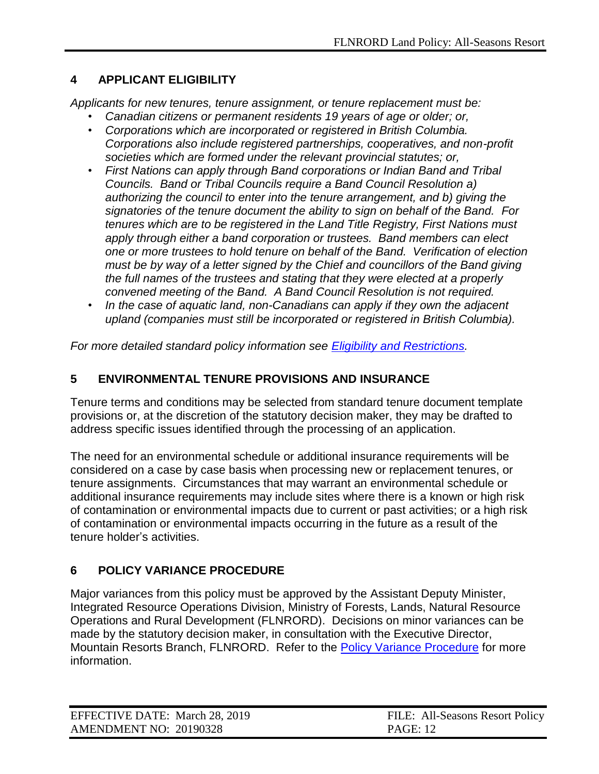# <span id="page-11-0"></span>**4 APPLICANT ELIGIBILITY**

*Applicants for new tenures, tenure assignment, or tenure replacement must be:*

- *Canadian citizens or permanent residents 19 years of age or older; or,*
- *Corporations which are incorporated or registered in British Columbia. Corporations also include registered partnerships, cooperatives, and non-profit societies which are formed under the relevant provincial statutes; or,*
- *First Nations can apply through Band corporations or Indian Band and Tribal Councils. Band or Tribal Councils require a Band Council Resolution a) authorizing the council to enter into the tenure arrangement, and b) giving the signatories of the tenure document the ability to sign on behalf of the Band. For tenures which are to be registered in the Land Title Registry, First Nations must apply through either a band corporation or trustees. Band members can elect one or more trustees to hold tenure on behalf of the Band. Verification of election must be by way of a letter signed by the Chief and councillors of the Band giving the full names of the trustees and stating that they were elected at a properly convened meeting of the Band. A Band Council Resolution is not required.*
- *In the case of aquatic land, non-Canadians can apply if they own the adjacent upland (companies must still be incorporated or registered in British Columbia).*

<span id="page-11-1"></span>*For more detailed standard policy information see [Eligibility and Restrictions.](https://www2.gov.bc.ca/assets/gov/farming-natural-resources-and-industry/natural-resource-use/land-water-use/crown-land/eligibility.pdf)*

### **5 ENVIRONMENTAL TENURE PROVISIONS AND INSURANCE**

Tenure terms and conditions may be selected from standard tenure document template provisions or, at the discretion of the statutory decision maker, they may be drafted to address specific issues identified through the processing of an application.

The need for an environmental schedule or additional insurance requirements will be considered on a case by case basis when processing new or replacement tenures, or tenure assignments. Circumstances that may warrant an environmental schedule or additional insurance requirements may include sites where there is a known or high risk of contamination or environmental impacts due to current or past activities; or a high risk of contamination or environmental impacts occurring in the future as a result of the tenure holder's activities.

# <span id="page-11-2"></span>**6 POLICY VARIANCE PROCEDURE**

Major variances from this policy must be approved by the Assistant Deputy Minister, Integrated Resource Operations Division, Ministry of Forests, Lands, Natural Resource Operations and Rural Development (FLNRORD). Decisions on minor variances can be made by the statutory decision maker, in consultation with the Executive Director, Mountain Resorts Branch, FLNRORD. Refer to the [Policy Variance Procedure](http://www2.gov.bc.ca/assets/gov/farming-natural-resources-and-industry/natural-resource-use/land-water-use/crown-land/variance.pdf) for more information.

| EFFECTIVE DATE: March 28, 2019 | FILE: All-Seasons Resort Policy |
|--------------------------------|---------------------------------|
| AMENDMENT NO: 20190328         | <b>PAGE: 12</b>                 |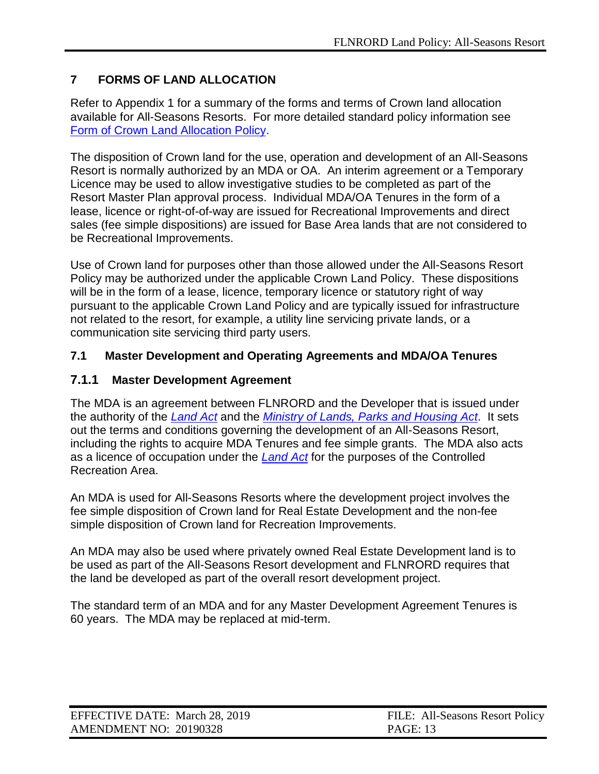# <span id="page-12-0"></span>**7 FORMS OF LAND ALLOCATION**

Refer to Appendix 1 for a summary of the forms and terms of Crown land allocation available for All-Seasons Resorts. For more detailed standard policy information see [Form of Crown Land Allocation Policy.](https://www2.gov.bc.ca/assets/gov/farming-natural-resources-and-industry/natural-resource-use/land-water-use/crown-land/form_of_allocation.pdf)

The disposition of Crown land for the use, operation and development of an All-Seasons Resort is normally authorized by an MDA or OA. An interim agreement or a Temporary Licence may be used to allow investigative studies to be completed as part of the Resort Master Plan approval process. Individual MDA/OA Tenures in the form of a lease, licence or right-of-of-way are issued for Recreational Improvements and direct sales (fee simple dispositions) are issued for Base Area lands that are not considered to be Recreational Improvements.

Use of Crown land for purposes other than those allowed under the All-Seasons Resort Policy may be authorized under the applicable Crown Land Policy. These dispositions will be in the form of a lease, licence, temporary licence or statutory right of way pursuant to the applicable Crown Land Policy and are typically issued for infrastructure not related to the resort, for example, a utility line servicing private lands, or a communication site servicing third party users.

#### <span id="page-12-1"></span>**7.1 Master Development and Operating Agreements and MDA/OA Tenures**

### <span id="page-12-2"></span>**7.1.1 Master Development Agreement**

The MDA is an agreement between FLNRORD and the Developer that is issued under the authority of the *[Land Act](http://www.bclaws.ca/civix/document/id/complete/statreg/96245_01)* and the *[Ministry of Lands, Parks and Housing Act](http://www.bclaws.ca/civix/document/id/complete/statreg/96307_01)*. It sets out the terms and conditions governing the development of an All-Seasons Resort, including the rights to acquire MDA Tenures and fee simple grants. The MDA also acts as a licence of occupation under the *[Land Act](http://www.bclaws.ca/civix/document/id/complete/statreg/96245_01)* for the purposes of the Controlled Recreation Area.

An MDA is used for All-Seasons Resorts where the development project involves the fee simple disposition of Crown land for Real Estate Development and the non-fee simple disposition of Crown land for Recreation Improvements.

An MDA may also be used where privately owned Real Estate Development land is to be used as part of the All-Seasons Resort development and FLNRORD requires that the land be developed as part of the overall resort development project.

The standard term of an MDA and for any Master Development Agreement Tenures is 60 years. The MDA may be replaced at mid-term.

| EFFECTIVE DATE: March 28, 2019 | FILE: All-Seasons Resort Policy |
|--------------------------------|---------------------------------|
| AMENDMENT NO: 20190328         | <b>PAGE: 13</b>                 |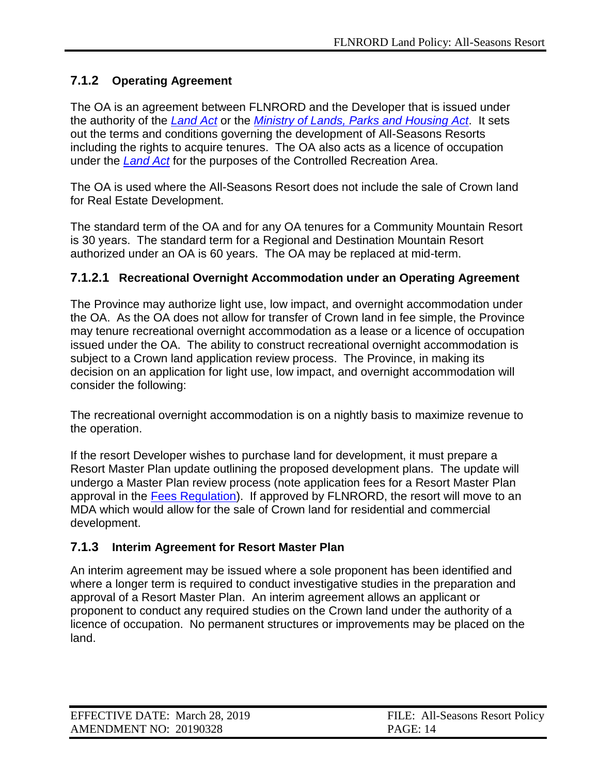# <span id="page-13-0"></span>**7.1.2 Operating Agreement**

The OA is an agreement between FLNRORD and the Developer that is issued under the authority of the *[Land Act](http://www.bclaws.ca/civix/document/id/complete/statreg/96245_01)* or the *[Ministry of Lands, Parks and Housing Act](http://www.bclaws.ca/civix/document/id/complete/statreg/96307_01)*. It sets out the terms and conditions governing the development of All-Seasons Resorts including the rights to acquire tenures. The OA also acts as a licence of occupation under the *[Land Act](http://www.bclaws.ca/civix/document/id/complete/statreg/96245_01)* for the purposes of the Controlled Recreation Area.

The OA is used where the All-Seasons Resort does not include the sale of Crown land for Real Estate Development.

The standard term of the OA and for any OA tenures for a Community Mountain Resort is 30 years. The standard term for a Regional and Destination Mountain Resort authorized under an OA is 60 years. The OA may be replaced at mid-term.

### <span id="page-13-1"></span>**7.1.2.1 Recreational Overnight Accommodation under an Operating Agreement**

The Province may authorize light use, low impact, and overnight accommodation under the OA. As the OA does not allow for transfer of Crown land in fee simple, the Province may tenure recreational overnight accommodation as a lease or a licence of occupation issued under the OA. The ability to construct recreational overnight accommodation is subject to a Crown land application review process. The Province, in making its decision on an application for light use, low impact, and overnight accommodation will consider the following:

The recreational overnight accommodation is on a nightly basis to maximize revenue to the operation.

If the resort Developer wishes to purchase land for development, it must prepare a Resort Master Plan update outlining the proposed development plans. The update will undergo a Master Plan review process (note application fees for a Resort Master Plan approval in the [Fees Regulation\)](http://www.bclaws.ca/EPLibraries/bclaws_new/document/ID/freeside/177_2003). If approved by FLNRORD, the resort will move to an MDA which would allow for the sale of Crown land for residential and commercial development.

#### <span id="page-13-2"></span>**7.1.3 Interim Agreement for Resort Master Plan**

An interim agreement may be issued where a sole proponent has been identified and where a longer term is required to conduct investigative studies in the preparation and approval of a Resort Master Plan. An interim agreement allows an applicant or proponent to conduct any required studies on the Crown land under the authority of a licence of occupation. No permanent structures or improvements may be placed on the land.

| EFFECTIVE DATE: March 28, 2019 | FILE: All-Seasons Resort Policy |
|--------------------------------|---------------------------------|
| AMENDMENT NO: 20190328         | <b>PAGE: 14</b>                 |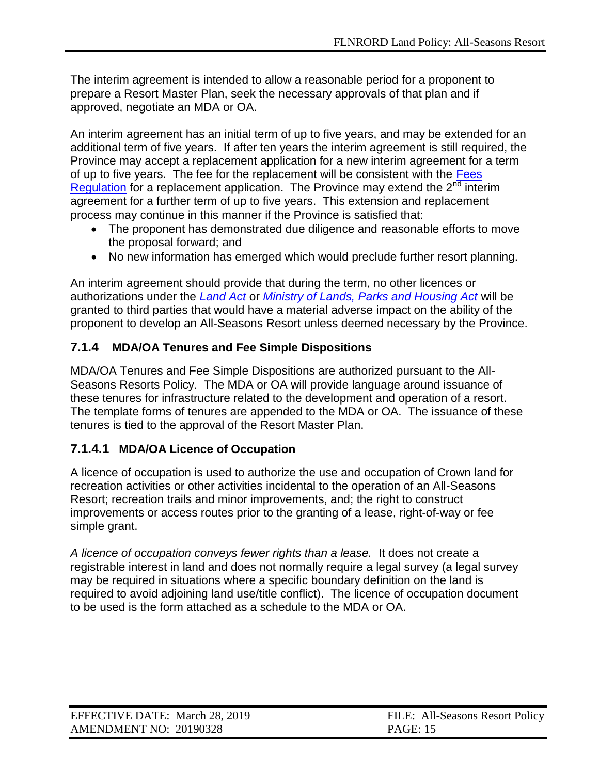The interim agreement is intended to allow a reasonable period for a proponent to prepare a Resort Master Plan, seek the necessary approvals of that plan and if approved, negotiate an MDA or OA.

An interim agreement has an initial term of up to five years, and may be extended for an additional term of five years. If after ten years the interim agreement is still required, the Province may accept a replacement application for a new interim agreement for a term of up to five years. The fee for the replacement will be consistent with the Fees [Regulation](http://www.bclaws.ca/EPLibraries/bclaws_new/document/ID/freeside/177_2003) for a replacement application. The Province may extend the  $2<sup>nd</sup>$  interim agreement for a further term of up to five years. This extension and replacement process may continue in this manner if the Province is satisfied that:

- The proponent has demonstrated due diligence and reasonable efforts to move the proposal forward; and
- No new information has emerged which would preclude further resort planning.

An interim agreement should provide that during the term, no other licences or authorizations under the *[Land Act](http://www.bclaws.ca/civix/document/id/complete/statreg/96245_01)* or *[Ministry of Lands, Parks and Housing Act](http://www.bclaws.ca/civix/document/id/complete/statreg/96307_01)* will be granted to third parties that would have a material adverse impact on the ability of the proponent to develop an All-Seasons Resort unless deemed necessary by the Province.

# <span id="page-14-0"></span>**7.1.4 MDA/OA Tenures and Fee Simple Dispositions**

MDA/OA Tenures and Fee Simple Dispositions are authorized pursuant to the All-Seasons Resorts Policy. The MDA or OA will provide language around issuance of these tenures for infrastructure related to the development and operation of a resort. The template forms of tenures are appended to the MDA or OA. The issuance of these tenures is tied to the approval of the Resort Master Plan.

#### <span id="page-14-1"></span>**7.1.4.1 MDA/OA Licence of Occupation**

A licence of occupation is used to authorize the use and occupation of Crown land for recreation activities or other activities incidental to the operation of an All-Seasons Resort; recreation trails and minor improvements, and; the right to construct improvements or access routes prior to the granting of a lease, right-of-way or fee simple grant.

*A licence of occupation conveys fewer rights than a lease.* It does not create a registrable interest in land and does not normally require a legal survey (a legal survey may be required in situations where a specific boundary definition on the land is required to avoid adjoining land use/title conflict). The licence of occupation document to be used is the form attached as a schedule to the MDA or OA.

| EFFECTIVE DATE: March 28, 2019 | FILE: All-Seasons Resort Policy |
|--------------------------------|---------------------------------|
| AMENDMENT NO: 20190328         | <b>PAGE: 15</b>                 |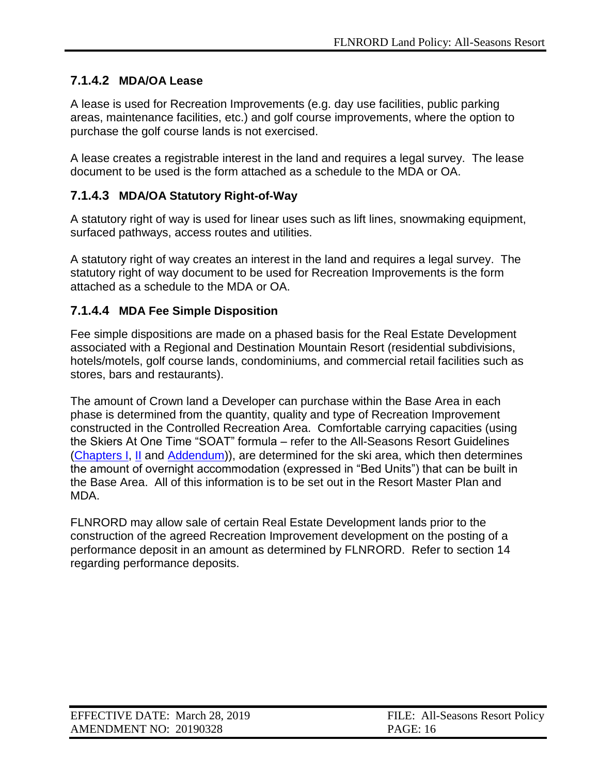# <span id="page-15-0"></span>**7.1.4.2 MDA/OA Lease**

A lease is used for Recreation Improvements (e.g. day use facilities, public parking areas, maintenance facilities, etc.) and golf course improvements, where the option to purchase the golf course lands is not exercised.

A lease creates a registrable interest in the land and requires a legal survey. The lease document to be used is the form attached as a schedule to the MDA or OA.

# <span id="page-15-1"></span>**7.1.4.3 MDA/OA Statutory Right-of-Way**

A statutory right of way is used for linear uses such as lift lines, snowmaking equipment, surfaced pathways, access routes and utilities.

A statutory right of way creates an interest in the land and requires a legal survey. The statutory right of way document to be used for Recreation Improvements is the form attached as a schedule to the MDA or OA.

### <span id="page-15-2"></span>**7.1.4.4 MDA Fee Simple Disposition**

Fee simple dispositions are made on a phased basis for the Real Estate Development associated with a Regional and Destination Mountain Resort (residential subdivisions, hotels/motels, golf course lands, condominiums, and commercial retail facilities such as stores, bars and restaurants).

The amount of Crown land a Developer can purchase within the Base Area in each phase is determined from the quantity, quality and type of Recreation Improvement constructed in the Controlled Recreation Area. Comfortable carrying capacities (using the Skiers At One Time "SOAT" formula – refer to the [All-Seasons Resort Guidelines](http://www.tsa.gov.bc.ca/resort_development/rules/guidelines.htm) [\(Chapters I,](http://www2.gov.bc.ca/assets/gov/farming-natural-resources-and-industry/natural-resource-use/all-seasons-resorts/asr_guidelines_c1.pdf) [II](http://www2.gov.bc.ca/assets/gov/farming-natural-resources-and-industry/natural-resource-use/all-seasons-resorts/chapter_2-mountain_resorts_amended_aug_25_2009.pdf) and [Addendum\)](https://www.for.gov.bc.ca/ftp/mountain_resorts/external/!publish/web/asr/ASR_Guidelines_addendum.pdf)), are determined for the ski area, which then determines the amount of overnight accommodation (expressed in "Bed Units") that can be built in the Base Area. All of this information is to be set out in the Resort Master Plan and MDA.

FLNRORD may allow sale of certain Real Estate Development lands prior to the construction of the agreed Recreation Improvement development on the posting of a performance deposit in an amount as determined by FLNRORD. Refer to section 14 regarding performance deposits.

| EFFECTIVE DATE: March 28, 2019 | FILE: All-Seasons Resort Policy |
|--------------------------------|---------------------------------|
| AMENDMENT NO: 20190328         | <b>PAGE: 16</b>                 |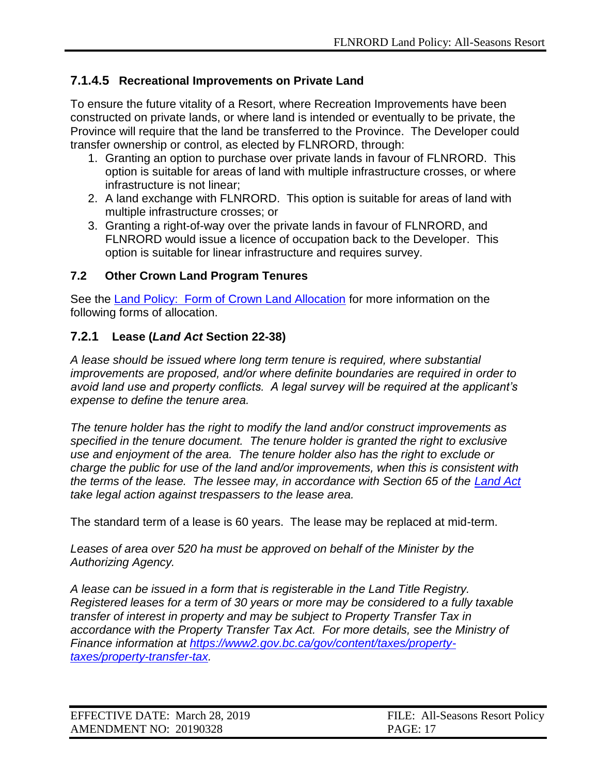# <span id="page-16-0"></span>**7.1.4.5 Recreational Improvements on Private Land**

To ensure the future vitality of a Resort, where Recreation Improvements have been constructed on private lands, or where land is intended or eventually to be private, the Province will require that the land be transferred to the Province. The Developer could transfer ownership or control, as elected by FLNRORD, through:

- 1. Granting an option to purchase over private lands in favour of FLNRORD. This option is suitable for areas of land with multiple infrastructure crosses, or where infrastructure is not linear;
- 2. A land exchange with FLNRORD. This option is suitable for areas of land with multiple infrastructure crosses; or
- 3. Granting a right-of-way over the private lands in favour of FLNRORD, and FLNRORD would issue a licence of occupation back to the Developer. This option is suitable for linear infrastructure and requires survey.

### <span id="page-16-1"></span>**7.2 Other Crown Land Program Tenures**

See the [Land Policy: Form of Crown Land Allocation](https://www2.gov.bc.ca/assets/gov/farming-natural-resources-and-industry/natural-resource-use/land-water-use/crown-land/form_of_allocation.pdf) for more information on the following forms of allocation.

# <span id="page-16-2"></span>**7.2.1 Lease (***Land Act* **Section 22-38)**

*A lease should be issued where long term tenure is required, where substantial improvements are proposed, and/or where definite boundaries are required in order to avoid land use and property conflicts. A legal survey will be required at the applicant's expense to define the tenure area.*

*The tenure holder has the right to modify the land and/or construct improvements as specified in the tenure document. The tenure holder is granted the right to exclusive use and enjoyment of the area. The tenure holder also has the right to exclude or charge the public for use of the land and/or improvements, when this is consistent with the terms of the lease. The lessee may, in accordance with Section 65 of the [Land Act](http://www.bclaws.ca/civix/document/id/complete/statreg/96245_01) take legal action against trespassers to the lease area.*

The standard term of a lease is 60 years. The lease may be replaced at mid-term.

*Leases of area over 520 ha must be approved on behalf of the Minister by the Authorizing Agency.*

*A lease can be issued in a form that is registerable in the Land Title Registry. Registered leases for a term of 30 years or more may be considered to a fully taxable transfer of interest in property and may be subject to Property Transfer Tax in accordance with the Property Transfer Tax Act. For more details, see the Ministry of Finance information at [https://www2.gov.bc.ca/gov/content/taxes/property](https://www2.gov.bc.ca/gov/content/taxes/property-taxes/property-transfer-tax)[taxes/property-transfer-tax.](https://www2.gov.bc.ca/gov/content/taxes/property-taxes/property-transfer-tax)*

| EFFECTIVE DATE: March 28, 2019 | FILE: All-Seasons Resort Policy |
|--------------------------------|---------------------------------|
| AMENDMENT NO: 20190328         | <b>PAGE: 17</b>                 |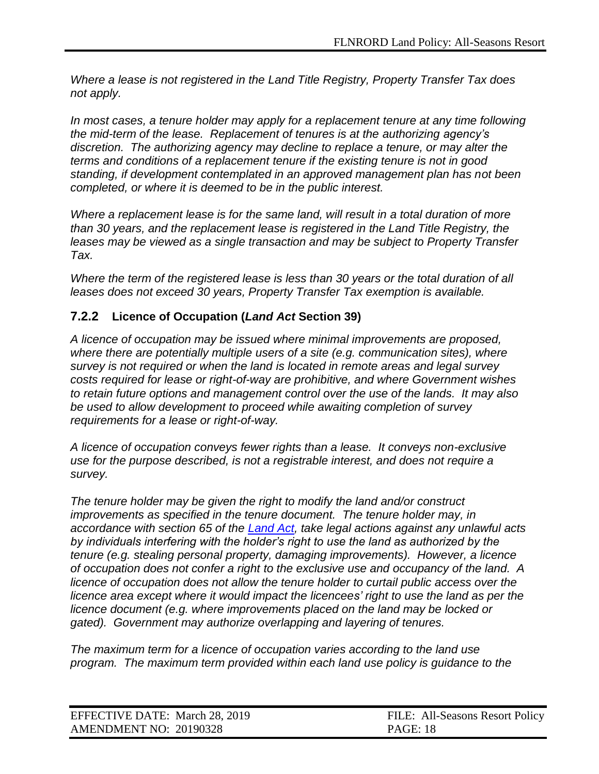*Where a lease is not registered in the Land Title Registry, Property Transfer Tax does not apply.*

*In most cases, a tenure holder may apply for a replacement tenure at any time following the mid-term of the lease. Replacement of tenures is at the authorizing agency's discretion. The authorizing agency may decline to replace a tenure, or may alter the terms and conditions of a replacement tenure if the existing tenure is not in good standing, if development contemplated in an approved management plan has not been completed, or where it is deemed to be in the public interest.*

*Where a replacement lease is for the same land, will result in a total duration of more than 30 years, and the replacement lease is registered in the Land Title Registry, the leases may be viewed as a single transaction and may be subject to Property Transfer Tax.*

*Where the term of the registered lease is less than 30 years or the total duration of all leases does not exceed 30 years, Property Transfer Tax exemption is available.*

### <span id="page-17-0"></span>**7.2.2 Licence of Occupation (***Land Act* **Section 39)**

*A licence of occupation may be issued where minimal improvements are proposed, where there are potentially multiple users of a site (e.g. communication sites), where survey is not required or when the land is located in remote areas and legal survey costs required for lease or right-of-way are prohibitive, and where Government wishes to retain future options and management control over the use of the lands. It may also be used to allow development to proceed while awaiting completion of survey requirements for a lease or right-of-way.*

*A licence of occupation conveys fewer rights than a lease. It conveys non-exclusive use for the purpose described, is not a registrable interest, and does not require a survey.*

*The tenure holder may be given the right to modify the land and/or construct improvements as specified in the tenure document. The tenure holder may, in accordance with section 65 of the [Land Act,](http://www.bclaws.ca/civix/document/id/complete/statreg/96245_01) take legal actions against any unlawful acts by individuals interfering with the holder's right to use the land as authorized by the tenure (e.g. stealing personal property, damaging improvements). However, a licence of occupation does not confer a right to the exclusive use and occupancy of the land. A licence of occupation does not allow the tenure holder to curtail public access over the licence area except where it would impact the licencees' right to use the land as per the licence document (e.g. where improvements placed on the land may be locked or gated). Government may authorize overlapping and layering of tenures.*

*The maximum term for a licence of occupation varies according to the land use program. The maximum term provided within each land use policy is guidance to the* 

| EFFECTIVE DATE: March 28, 2019 | FILE: All-Seasons Resort Policy |
|--------------------------------|---------------------------------|
| AMENDMENT NO: 20190328         | <b>PAGE: 18</b>                 |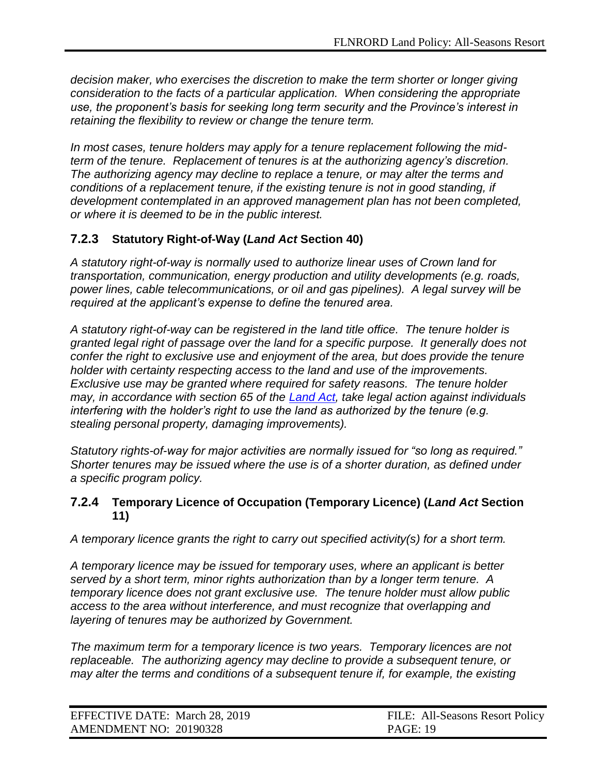*decision maker, who exercises the discretion to make the term shorter or longer giving consideration to the facts of a particular application. When considering the appropriate use, the proponent's basis for seeking long term security and the Province's interest in retaining the flexibility to review or change the tenure term.*

*In most cases, tenure holders may apply for a tenure replacement following the midterm of the tenure. Replacement of tenures is at the authorizing agency's discretion. The authorizing agency may decline to replace a tenure, or may alter the terms and conditions of a replacement tenure, if the existing tenure is not in good standing, if development contemplated in an approved management plan has not been completed, or where it is deemed to be in the public interest.*

# <span id="page-18-0"></span>**7.2.3 Statutory Right-of-Way (***Land Act* **Section 40)**

*A statutory right-of-way is normally used to authorize linear uses of Crown land for transportation, communication, energy production and utility developments (e.g. roads, power lines, cable telecommunications, or oil and gas pipelines). A legal survey will be required at the applicant's expense to define the tenured area.*

*A statutory right-of-way can be registered in the land title office. The tenure holder is granted legal right of passage over the land for a specific purpose. It generally does not confer the right to exclusive use and enjoyment of the area, but does provide the tenure holder with certainty respecting access to the land and use of the improvements. Exclusive use may be granted where required for safety reasons. The tenure holder may, in accordance with section 65 of the [Land Act,](http://www.bclaws.ca/civix/document/id/complete/statreg/96245_01) take legal action against individuals interfering with the holder's right to use the land as authorized by the tenure (e.g. stealing personal property, damaging improvements).*

*Statutory rights-of-way for major activities are normally issued for "so long as required." Shorter tenures may be issued where the use is of a shorter duration, as defined under a specific program policy.*

#### <span id="page-18-1"></span>**7.2.4 Temporary Licence of Occupation (Temporary Licence) (***Land Act* **Section 11)**

*A temporary licence grants the right to carry out specified activity(s) for a short term.*

*A temporary licence may be issued for temporary uses, where an applicant is better served by a short term, minor rights authorization than by a longer term tenure. A temporary licence does not grant exclusive use. The tenure holder must allow public access to the area without interference, and must recognize that overlapping and layering of tenures may be authorized by Government.*

*The maximum term for a temporary licence is two years. Temporary licences are not replaceable. The authorizing agency may decline to provide a subsequent tenure, or may alter the terms and conditions of a subsequent tenure if, for example, the existing* 

| EFFECTIVE DATE: March 28, 2019 | FILE: All-Seasons Resort Policy |
|--------------------------------|---------------------------------|
| AMENDMENT NO: 20190328         | <b>PAGE: 19</b>                 |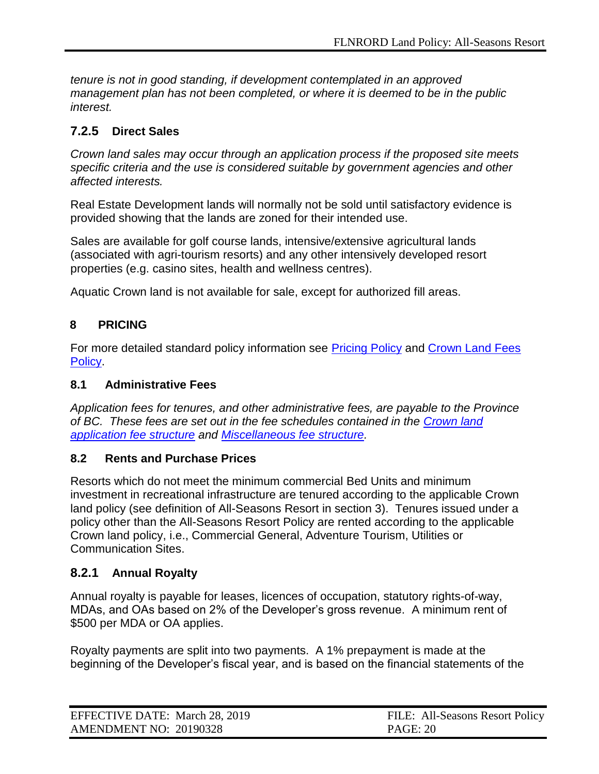*tenure is not in good standing, if development contemplated in an approved management plan has not been completed, or where it is deemed to be in the public interest.*

# <span id="page-19-0"></span>**7.2.5 Direct Sales**

*Crown land sales may occur through an application process if the proposed site meets specific criteria and the use is considered suitable by government agencies and other affected interests.*

Real Estate Development lands will normally not be sold until satisfactory evidence is provided showing that the lands are zoned for their intended use.

Sales are available for golf course lands, intensive/extensive agricultural lands (associated with agri-tourism resorts) and any other intensively developed resort properties (e.g. casino sites, health and wellness centres).

<span id="page-19-1"></span>Aquatic Crown land is not available for sale, except for authorized fill areas.

### **8 PRICING**

For more detailed standard policy information see [Pricing Policy](https://www2.gov.bc.ca/assets/gov/farming-natural-resources-and-industry/natural-resource-use/land-water-use/crown-land/pricing.pdf) and [Crown Land Fees](https://www2.gov.bc.ca/assets/gov/farming-natural-resources-and-industry/natural-resource-use/land-water-use/crown-land/fees.pdf)  [Policy.](https://www2.gov.bc.ca/assets/gov/farming-natural-resources-and-industry/natural-resource-use/land-water-use/crown-land/fees.pdf)

#### <span id="page-19-2"></span>**8.1 Administrative Fees**

*Application fees for tenures, and other administrative fees, are payable to the Province of BC. These fees are set out in the fee schedules contained in the [Crown land](https://www2.gov.bc.ca/assets/gov/farming-natural-resources-and-industry/natural-resource-use/land-water-use/crown-land/fees-land.pdf)  [application fee structure](https://www2.gov.bc.ca/assets/gov/farming-natural-resources-and-industry/natural-resource-use/land-water-use/crown-land/fees-land.pdf) and [Miscellaneous fee structure.](https://www2.gov.bc.ca/assets/gov/farming-natural-resources-and-industry/natural-resource-use/land-water-use/crown-land/fees-misc.pdf)*

#### <span id="page-19-3"></span>**8.2 Rents and Purchase Prices**

Resorts which do not meet the minimum commercial Bed Units and minimum investment in recreational infrastructure are tenured according to the applicable Crown land policy (see definition of All-Seasons Resort in section 3). Tenures issued under a policy other than the All-Seasons Resort Policy are rented according to the applicable Crown land policy, i.e., Commercial General, Adventure Tourism, Utilities or Communication Sites.

#### <span id="page-19-4"></span>**8.2.1 Annual Royalty**

Annual royalty is payable for leases, licences of occupation, statutory rights-of-way, MDAs, and OAs based on 2% of the Developer's gross revenue. A minimum rent of \$500 per MDA or OA applies.

Royalty payments are split into two payments. A 1% prepayment is made at the beginning of the Developer's fiscal year, and is based on the financial statements of the

| EFFECTIVE DATE: March 28, 2019 | FILE: All-Seasons Resort Policy |
|--------------------------------|---------------------------------|
| AMENDMENT NO: 20190328         | <b>PAGE: 20</b>                 |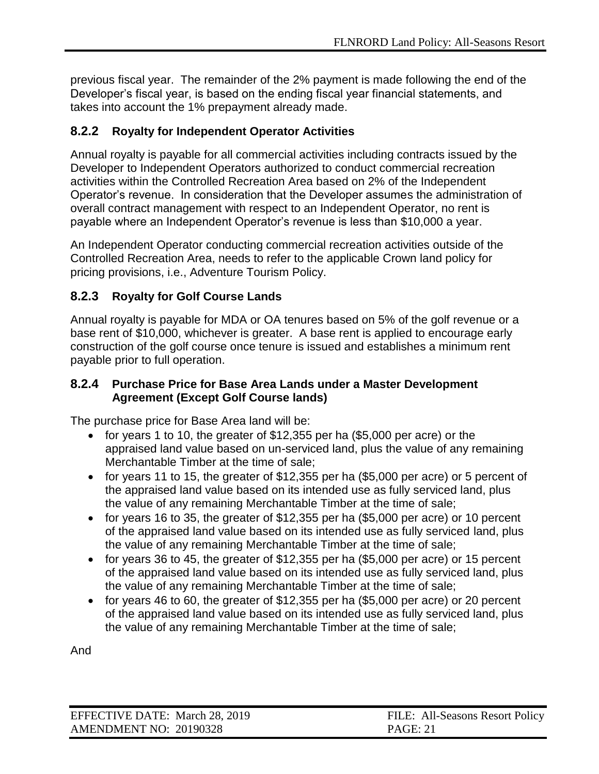previous fiscal year. The remainder of the 2% payment is made following the end of the Developer's fiscal year, is based on the ending fiscal year financial statements, and takes into account the 1% prepayment already made.

### <span id="page-20-0"></span>**8.2.2 Royalty for Independent Operator Activities**

Annual royalty is payable for all commercial activities including contracts issued by the Developer to Independent Operators authorized to conduct commercial recreation activities within the Controlled Recreation Area based on 2% of the Independent Operator's revenue. In consideration that the Developer assumes the administration of overall contract management with respect to an Independent Operator, no rent is payable where an Independent Operator's revenue is less than \$10,000 a year.

An Independent Operator conducting commercial recreation activities outside of the Controlled Recreation Area, needs to refer to the applicable Crown land policy for pricing provisions, i.e., Adventure Tourism Policy.

# <span id="page-20-1"></span>**8.2.3 Royalty for Golf Course Lands**

Annual royalty is payable for MDA or OA tenures based on 5% of the golf revenue or a base rent of \$10,000, whichever is greater. A base rent is applied to encourage early construction of the golf course once tenure is issued and establishes a minimum rent payable prior to full operation.

#### <span id="page-20-2"></span>**8.2.4 Purchase Price for Base Area Lands under a Master Development Agreement (Except Golf Course lands)**

The purchase price for Base Area land will be:

- $\bullet$  for years 1 to 10, the greater of \$12,355 per ha (\$5,000 per acre) or the appraised land value based on un-serviced land, plus the value of any remaining Merchantable Timber at the time of sale;
- $\bullet$  for years 11 to 15, the greater of \$12,355 per ha (\$5,000 per acre) or 5 percent of the appraised land value based on its intended use as fully serviced land, plus the value of any remaining Merchantable Timber at the time of sale;
- $\bullet$  for years 16 to 35, the greater of \$12,355 per ha (\$5,000 per acre) or 10 percent of the appraised land value based on its intended use as fully serviced land, plus the value of any remaining Merchantable Timber at the time of sale;
- $\bullet$  for years 36 to 45, the greater of \$12,355 per ha (\$5,000 per acre) or 15 percent of the appraised land value based on its intended use as fully serviced land, plus the value of any remaining Merchantable Timber at the time of sale;
- $\bullet$  for years 46 to 60, the greater of \$12,355 per ha (\$5,000 per acre) or 20 percent of the appraised land value based on its intended use as fully serviced land, plus the value of any remaining Merchantable Timber at the time of sale;

And

| EFFECTIVE DATE: March 28, 2019 | FILE: All-Seasons Resort Policy |
|--------------------------------|---------------------------------|
| AMENDMENT NO: 20190328         | <b>PAGE: 21</b>                 |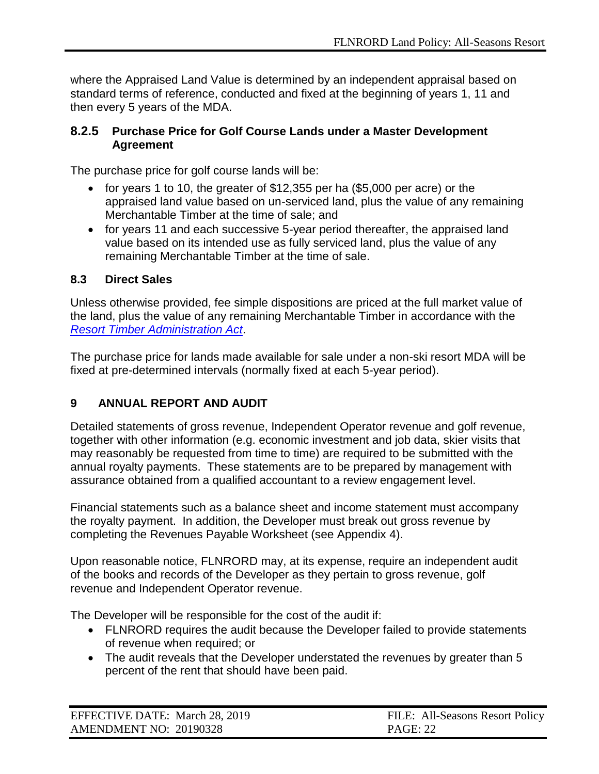where the Appraised Land Value is determined by an independent appraisal based on standard terms of reference, conducted and fixed at the beginning of years 1, 11 and then every 5 years of the MDA.

#### <span id="page-21-0"></span>**8.2.5 Purchase Price for Golf Course Lands under a Master Development Agreement**

The purchase price for golf course lands will be:

- $\bullet$  for years 1 to 10, the greater of \$12,355 per ha (\$5,000 per acre) or the appraised land value based on un-serviced land, plus the value of any remaining Merchantable Timber at the time of sale; and
- for years 11 and each successive 5-year period thereafter, the appraised land value based on its intended use as fully serviced land, plus the value of any remaining Merchantable Timber at the time of sale.

#### <span id="page-21-1"></span>**8.3 Direct Sales**

Unless otherwise provided, fee simple dispositions are priced at the full market value of the land, plus the value of any remaining Merchantable Timber in accordance with the *[Resort Timber Administration Act](http://www.bclaws.ca/EPLibraries/bclaws_new/document/ID/freeside/00_06030_01)*.

The purchase price for lands made available for sale under a non-ski resort MDA will be fixed at pre-determined intervals (normally fixed at each 5-year period).

# <span id="page-21-2"></span>**9 ANNUAL REPORT AND AUDIT**

Detailed statements of gross revenue, Independent Operator revenue and golf revenue, together with other information (e.g. economic investment and job data, skier visits that may reasonably be requested from time to time) are required to be submitted with the annual royalty payments. These statements are to be prepared by management with assurance obtained from a qualified accountant to a review engagement level.

Financial statements such as a balance sheet and income statement must accompany the royalty payment. In addition, the Developer must break out gross revenue by completing the Revenues Payable Worksheet (see Appendix 4).

Upon reasonable notice, FLNRORD may, at its expense, require an independent audit of the books and records of the Developer as they pertain to gross revenue, golf revenue and Independent Operator revenue.

The Developer will be responsible for the cost of the audit if:

- FLNRORD requires the audit because the Developer failed to provide statements of revenue when required; or
- The audit reveals that the Developer understated the revenues by greater than 5 percent of the rent that should have been paid.

| EFFECTIVE DATE: March 28, 2019 | FILE: All-Seasons Resort Policy |
|--------------------------------|---------------------------------|
| AMENDMENT NO: 20190328         | <b>PAGE: 22</b>                 |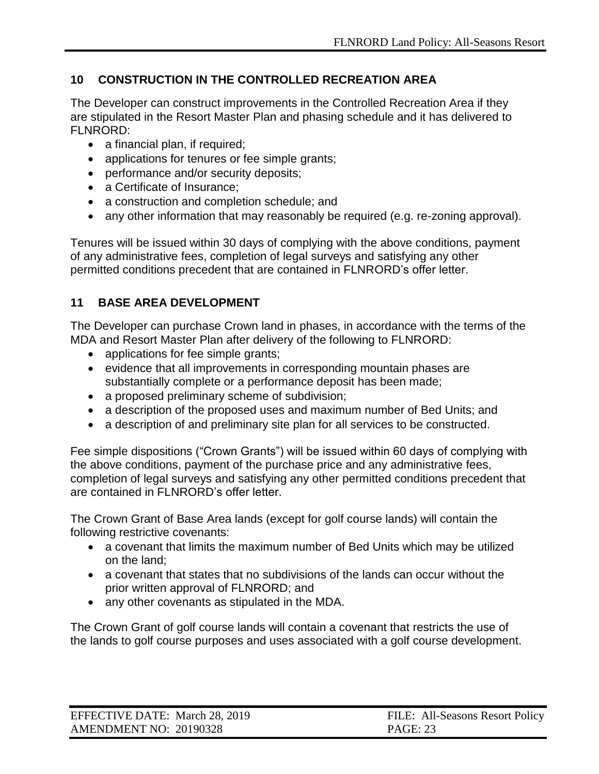# <span id="page-22-0"></span>**10 CONSTRUCTION IN THE CONTROLLED RECREATION AREA**

The Developer can construct improvements in the Controlled Recreation Area if they are stipulated in the Resort Master Plan and phasing schedule and it has delivered to FLNRORD:

- a financial plan, if required;
- applications for tenures or fee simple grants;
- performance and/or security deposits;
- a Certificate of Insurance;
- a construction and completion schedule; and
- any other information that may reasonably be required (e.g. re-zoning approval).

Tenures will be issued within 30 days of complying with the above conditions, payment of any administrative fees, completion of legal surveys and satisfying any other permitted conditions precedent that are contained in FLNRORD's offer letter.

# <span id="page-22-1"></span>**11 BASE AREA DEVELOPMENT**

The Developer can purchase Crown land in phases, in accordance with the terms of the MDA and Resort Master Plan after delivery of the following to FLNRORD:

- applications for fee simple grants;
- evidence that all improvements in corresponding mountain phases are substantially complete or a performance deposit has been made;
- a proposed preliminary scheme of subdivision;
- a description of the proposed uses and maximum number of Bed Units; and
- a description of and preliminary site plan for all services to be constructed.

Fee simple dispositions ("Crown Grants") will be issued within 60 days of complying with the above conditions, payment of the purchase price and any administrative fees, completion of legal surveys and satisfying any other permitted conditions precedent that are contained in FLNRORD's offer letter.

The Crown Grant of Base Area lands (except for golf course lands) will contain the following restrictive covenants:

- a covenant that limits the maximum number of Bed Units which may be utilized on the land;
- a covenant that states that no subdivisions of the lands can occur without the prior written approval of FLNRORD; and
- any other covenants as stipulated in the MDA.

The Crown Grant of golf course lands will contain a covenant that restricts the use of the lands to golf course purposes and uses associated with a golf course development.

| EFFECTIVE DATE: March 28, 2019 | FILE: All-Seasons Resort Policy |
|--------------------------------|---------------------------------|
| AMENDMENT NO: 20190328         | <b>PAGE: 23</b>                 |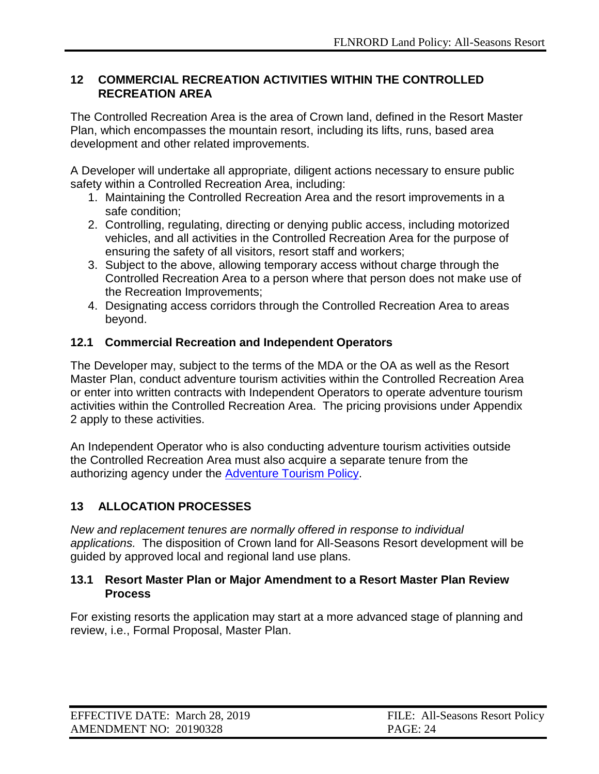#### <span id="page-23-0"></span>**12 COMMERCIAL RECREATION ACTIVITIES WITHIN THE CONTROLLED RECREATION AREA**

The Controlled Recreation Area is the area of Crown land, defined in the Resort Master Plan, which encompasses the mountain resort, including its lifts, runs, based area development and other related improvements.

A Developer will undertake all appropriate, diligent actions necessary to ensure public safety within a Controlled Recreation Area, including:

- 1. Maintaining the Controlled Recreation Area and the resort improvements in a safe condition;
- 2. Controlling, regulating, directing or denying public access, including motorized vehicles, and all activities in the Controlled Recreation Area for the purpose of ensuring the safety of all visitors, resort staff and workers;
- 3. Subject to the above, allowing temporary access without charge through the Controlled Recreation Area to a person where that person does not make use of the Recreation Improvements;
- 4. Designating access corridors through the Controlled Recreation Area to areas beyond.

### <span id="page-23-1"></span>**12.1 Commercial Recreation and Independent Operators**

The Developer may, subject to the terms of the MDA or the OA as well as the Resort Master Plan, conduct adventure tourism activities within the Controlled Recreation Area or enter into written contracts with Independent Operators to operate adventure tourism activities within the Controlled Recreation Area. The pricing provisions under Appendix 2 apply to these activities.

An Independent Operator who is also conducting adventure tourism activities outside the Controlled Recreation Area must also acquire a separate tenure from the authorizing agency under the [Adventure Tourism Policy.](http://www2.gov.bc.ca/assets/gov/farming-natural-resources-and-industry/natural-resource-use/land-water-use/crown-land/adventure_tourism.pdf)

# <span id="page-23-2"></span>**13 ALLOCATION PROCESSES**

*New and replacement tenures are normally offered in response to individual applications.* The disposition of Crown land for All-Seasons Resort development will be guided by approved local and regional land use plans.

#### <span id="page-23-3"></span>**13.1 Resort Master Plan or Major Amendment to a Resort Master Plan Review Process**

For existing resorts the application may start at a more advanced stage of planning and review, i.e., Formal Proposal, Master Plan.

| EFFECTIVE DATE: March 28, 2019 | FILE: All-Seasons Resort Policy |
|--------------------------------|---------------------------------|
| AMENDMENT NO: 20190328         | <b>PAGE: 24</b>                 |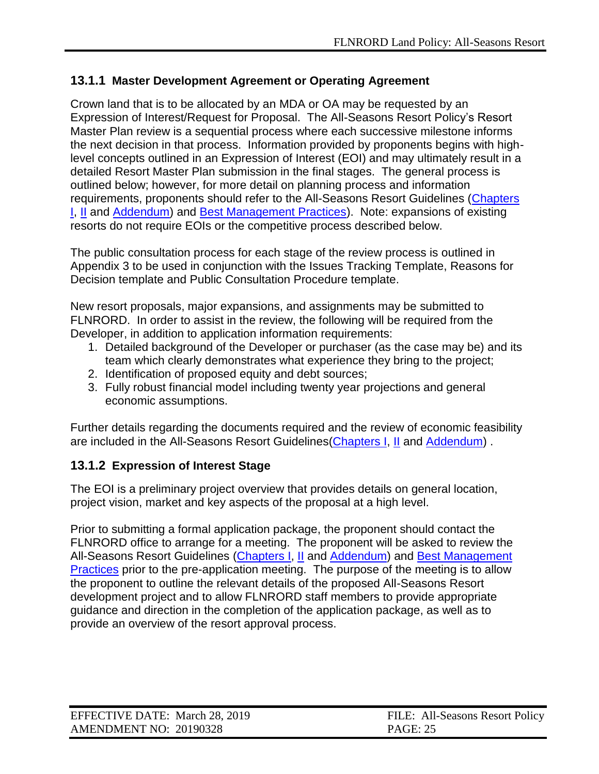### <span id="page-24-0"></span>**13.1.1 Master Development Agreement or Operating Agreement**

Crown land that is to be allocated by an MDA or OA may be requested by an Expression of Interest/Request for Proposal. The All-Seasons Resort Policy's Resort Master Plan review is a sequential process where each successive milestone informs the next decision in that process. Information provided by proponents begins with highlevel concepts outlined in an Expression of Interest (EOI) and may ultimately result in a detailed Resort Master Plan submission in the final stages. The general process is outlined below; however, for more detail on planning process and information requirements, proponents should refer to the All-Seasons Resort Guidelines [\(Chapters](http://www2.gov.bc.ca/assets/gov/farming-natural-resources-and-industry/natural-resource-use/all-seasons-resorts/asr_guidelines_c1.pdf)  [I,](http://www2.gov.bc.ca/assets/gov/farming-natural-resources-and-industry/natural-resource-use/all-seasons-resorts/asr_guidelines_c1.pdf) [II](http://www2.gov.bc.ca/assets/gov/farming-natural-resources-and-industry/natural-resource-use/all-seasons-resorts/chapter_2-mountain_resorts_amended_aug_25_2009.pdf) and [Addendum\)](https://www.for.gov.bc.ca/ftp/mountain_resorts/external/!publish/web/asr/ASR_Guidelines_addendum.pdf) and [Best Management Practices\)](https://www2.gov.bc.ca/assets/gov/farming-natural-resources-and-industry/natural-resource-use/all-seasons-resorts/bp_final.pdf). Note: expansions of existing resorts do not require EOIs or the competitive process described below.

The public consultation process for each stage of the review process is outlined in Appendix 3 to be used in conjunction with the Issues Tracking Template, Reasons for Decision template and Public Consultation Procedure template.

New resort proposals, major expansions, and assignments may be submitted to FLNRORD. In order to assist in the review, the following will be required from the Developer, in addition to application information requirements:

- 1. Detailed background of the Developer or purchaser (as the case may be) and its team which clearly demonstrates what experience they bring to the project;
- 2. Identification of proposed equity and debt sources;
- 3. Fully robust financial model including twenty year projections and general economic assumptions.

Further details regarding the documents required and the review of economic feasibility are included in the All-Seasons Resort Guidelines[\(Chapters I,](http://www2.gov.bc.ca/assets/gov/farming-natural-resources-and-industry/natural-resource-use/all-seasons-resorts/asr_guidelines_c1.pdf) [II](http://www2.gov.bc.ca/assets/gov/farming-natural-resources-and-industry/natural-resource-use/all-seasons-resorts/chapter_2-mountain_resorts_amended_aug_25_2009.pdf) and [Addendum\)](https://www.for.gov.bc.ca/ftp/mountain_resorts/external/!publish/web/asr/ASR_Guidelines_addendum.pdf) .

# <span id="page-24-1"></span>**13.1.2 Expression of Interest Stage**

The EOI is a preliminary project overview that provides details on general location, project vision, market and key aspects of the proposal at a high level.

Prior to submitting a formal application package, the proponent should contact the FLNRORD office to arrange for a meeting. The proponent will be asked to review the [All-Seasons Resort Guidelines](http://www.tsa.gov.bc.ca/resort_development/rules/guidelines.htm) [\(Chapters I,](http://www2.gov.bc.ca/assets/gov/farming-natural-resources-and-industry/natural-resource-use/all-seasons-resorts/asr_guidelines_c1.pdf) [II](http://www2.gov.bc.ca/assets/gov/farming-natural-resources-and-industry/natural-resource-use/all-seasons-resorts/chapter_2-mountain_resorts_amended_aug_25_2009.pdf) and [Addendum\)](https://www.for.gov.bc.ca/ftp/mountain_resorts/external/!publish/web/asr/ASR_Guidelines_addendum.pdf) and [Best Management](https://www2.gov.bc.ca/assets/gov/farming-natural-resources-and-industry/natural-resource-use/all-seasons-resorts/bp_final.pdf)  [Practices](https://www2.gov.bc.ca/assets/gov/farming-natural-resources-and-industry/natural-resource-use/all-seasons-resorts/bp_final.pdf) prior to the pre-application meeting. The purpose of the meeting is to allow the proponent to outline the relevant details of the proposed All-Seasons Resort development project and to allow FLNRORD staff members to provide appropriate guidance and direction in the completion of the application package, as well as to provide an overview of the resort approval process.

| EFFECTIVE DATE: March 28, 2019 | FILE: All-Seasons Resort Policy |
|--------------------------------|---------------------------------|
| AMENDMENT NO: 20190328         | <b>PAGE: 25</b>                 |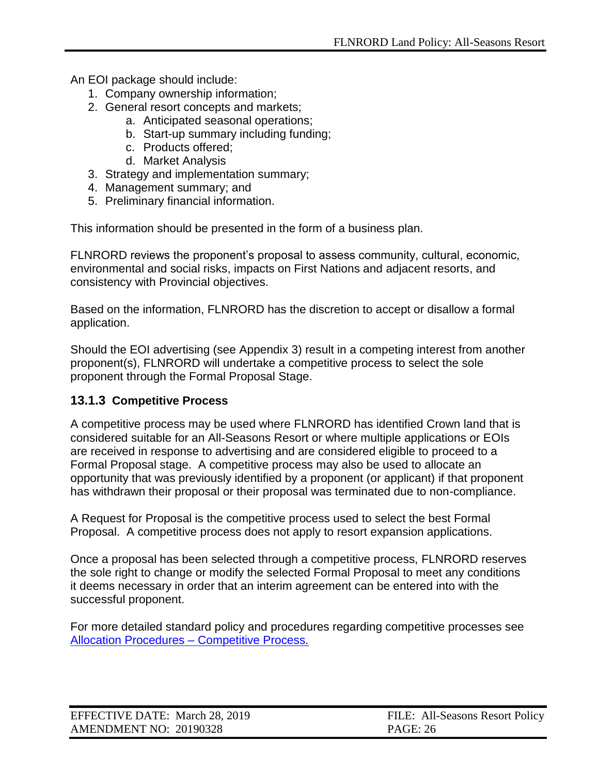An EOI package should include:

- 1. Company ownership information;
- 2. General resort concepts and markets;
	- a. Anticipated seasonal operations;
	- b. Start-up summary including funding;
	- c. Products offered;
	- d. Market Analysis
- 3. Strategy and implementation summary;
- 4. Management summary; and
- 5. Preliminary financial information.

This information should be presented in the form of a business plan.

FLNRORD reviews the proponent's proposal to assess community, cultural, economic, environmental and social risks, impacts on First Nations and adjacent resorts, and consistency with Provincial objectives.

Based on the information, FLNRORD has the discretion to accept or disallow a formal application.

Should the EOI advertising (see Appendix 3) result in a competing interest from another proponent(s), FLNRORD will undertake a competitive process to select the sole proponent through the Formal Proposal Stage.

#### <span id="page-25-0"></span>**13.1.3 Competitive Process**

A competitive process may be used where FLNRORD has identified Crown land that is considered suitable for an All-Seasons Resort or where multiple applications or EOIs are received in response to advertising and are considered eligible to proceed to a Formal Proposal stage. A competitive process may also be used to allocate an opportunity that was previously identified by a proponent (or applicant) if that proponent has withdrawn their proposal or their proposal was terminated due to non-compliance.

A Request for Proposal is the competitive process used to select the best Formal Proposal. A competitive process does not apply to resort expansion applications.

Once a proposal has been selected through a competitive process, FLNRORD reserves the sole right to change or modify the selected Formal Proposal to meet any conditions it deems necessary in order that an interim agreement can be entered into with the successful proponent.

For more detailed standard policy and procedures regarding competitive processes see [Allocation Procedures –](https://www2.gov.bc.ca/assets/gov/farming-natural-resources-and-industry/natural-resource-use/land-water-use/crown-land/ap_comp_process.pdf) Competitive Process.

| EFFECTIVE DATE: March 28, 2019 | FILE: All-Seasons Resort Policy |
|--------------------------------|---------------------------------|
| AMENDMENT NO: 20190328         | <b>PAGE: 26</b>                 |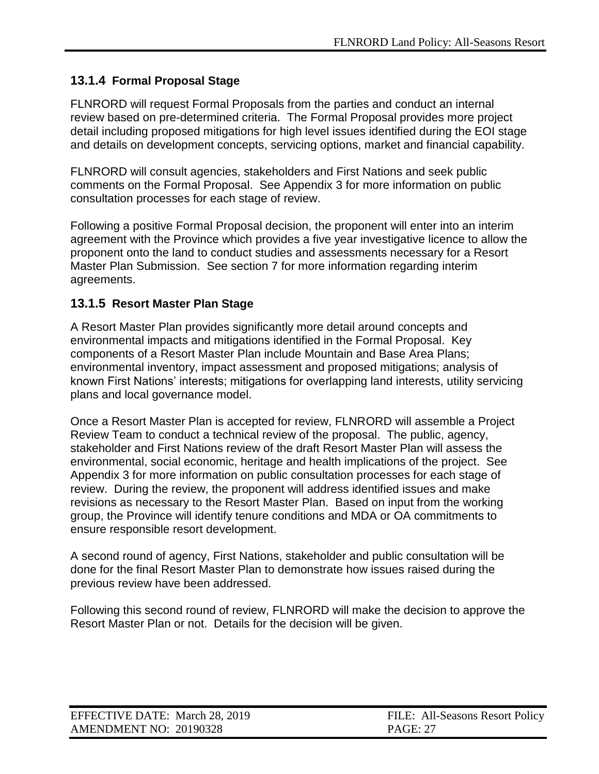# <span id="page-26-0"></span>**13.1.4 Formal Proposal Stage**

FLNRORD will request Formal Proposals from the parties and conduct an internal review based on pre-determined criteria. The Formal Proposal provides more project detail including proposed mitigations for high level issues identified during the EOI stage and details on development concepts, servicing options, market and financial capability.

FLNRORD will consult agencies, stakeholders and First Nations and seek public comments on the Formal Proposal. See Appendix 3 for more information on public consultation processes for each stage of review.

Following a positive Formal Proposal decision, the proponent will enter into an interim agreement with the Province which provides a five year investigative licence to allow the proponent onto the land to conduct studies and assessments necessary for a Resort Master Plan Submission. See section 7 for more information regarding interim agreements.

### <span id="page-26-1"></span>**13.1.5 Resort Master Plan Stage**

A Resort Master Plan provides significantly more detail around concepts and environmental impacts and mitigations identified in the Formal Proposal. Key components of a Resort Master Plan include Mountain and Base Area Plans; environmental inventory, impact assessment and proposed mitigations; analysis of known First Nations' interests; mitigations for overlapping land interests, utility servicing plans and local governance model.

Once a Resort Master Plan is accepted for review, FLNRORD will assemble a Project Review Team to conduct a technical review of the proposal. The public, agency, stakeholder and First Nations review of the draft Resort Master Plan will assess the environmental, social economic, heritage and health implications of the project. See Appendix 3 for more information on public consultation processes for each stage of review. During the review, the proponent will address identified issues and make revisions as necessary to the Resort Master Plan. Based on input from the working group, the Province will identify tenure conditions and MDA or OA commitments to ensure responsible resort development.

A second round of agency, First Nations, stakeholder and public consultation will be done for the final Resort Master Plan to demonstrate how issues raised during the previous review have been addressed.

Following this second round of review, FLNRORD will make the decision to approve the Resort Master Plan or not. Details for the decision will be given.

| EFFECTIVE DATE: March 28, 2019 | FILE: All-Seasons Resort Policy |
|--------------------------------|---------------------------------|
| AMENDMENT NO: 20190328         | <b>PAGE: 27</b>                 |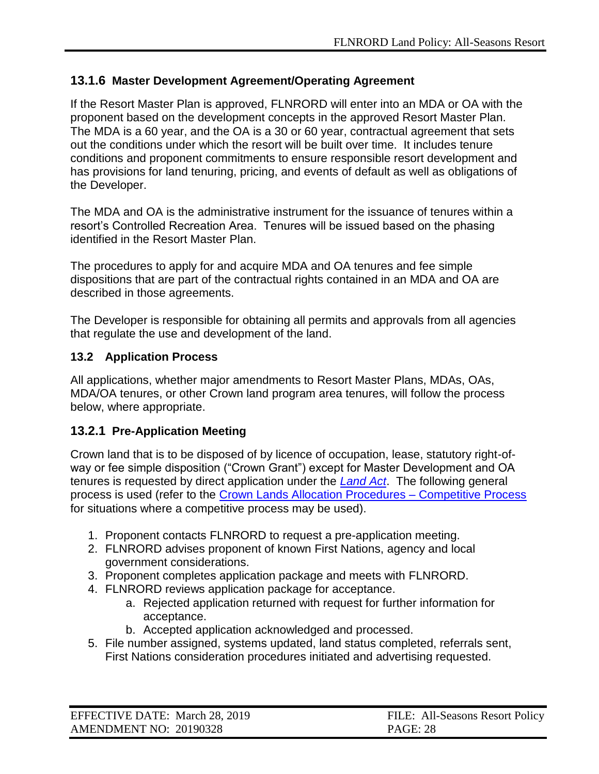### <span id="page-27-0"></span>**13.1.6 Master Development Agreement/Operating Agreement**

If the Resort Master Plan is approved, FLNRORD will enter into an MDA or OA with the proponent based on the development concepts in the approved Resort Master Plan. The MDA is a 60 year, and the OA is a 30 or 60 year, contractual agreement that sets out the conditions under which the resort will be built over time. It includes tenure conditions and proponent commitments to ensure responsible resort development and has provisions for land tenuring, pricing, and events of default as well as obligations of the Developer.

The MDA and OA is the administrative instrument for the issuance of tenures within a resort's Controlled Recreation Area. Tenures will be issued based on the phasing identified in the Resort Master Plan.

The procedures to apply for and acquire MDA and OA tenures and fee simple dispositions that are part of the contractual rights contained in an MDA and OA are described in those agreements.

The Developer is responsible for obtaining all permits and approvals from all agencies that regulate the use and development of the land.

#### <span id="page-27-1"></span>**13.2 Application Process**

All applications, whether major amendments to Resort Master Plans, MDAs, OAs, MDA/OA tenures, or other Crown land program area tenures, will follow the process below, where appropriate.

#### <span id="page-27-2"></span>**13.2.1 Pre-Application Meeting**

Crown land that is to be disposed of by licence of occupation, lease, statutory right-ofway or fee simple disposition ("Crown Grant") except for Master Development and OA tenures is requested by direct application under the *[Land Act](http://www.bclaws.ca/civix/document/id/complete/statreg/96245_01)*. The following general process is used (refer to the [Crown Lands Allocation Procedures –](https://www2.gov.bc.ca/assets/gov/farming-natural-resources-and-industry/natural-resource-use/land-water-use/crown-land/ap_comp_process.pdf) Competitive Process for situations where a competitive process may be used).

- 1. Proponent contacts FLNRORD to request a pre-application meeting.
- 2. FLNRORD advises proponent of known First Nations, agency and local government considerations.
- 3. Proponent completes application package and meets with FLNRORD.
- 4. FLNRORD reviews application package for acceptance.
	- a. Rejected application returned with request for further information for acceptance.
	- b. Accepted application acknowledged and processed.
- 5. File number assigned, systems updated, land status completed, referrals sent, First Nations consideration procedures initiated and advertising requested.

| EFFECTIVE DATE: March 28, 2019 | FILE: All-Seasons Resort Policy |
|--------------------------------|---------------------------------|
| AMENDMENT NO: 20190328         | <b>PAGE: 28</b>                 |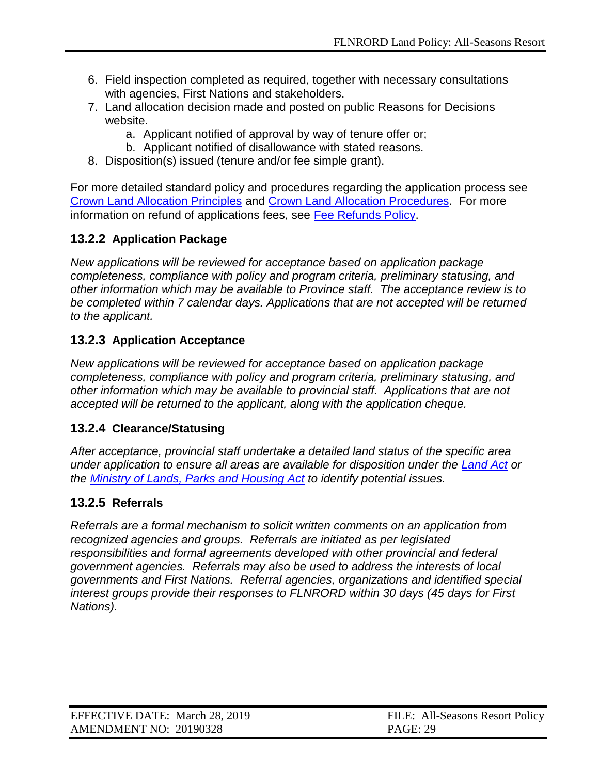- 6. Field inspection completed as required, together with necessary consultations with agencies, First Nations and stakeholders.
- 7. Land allocation decision made and posted on public Reasons for Decisions website.
	- a. Applicant notified of approval by way of tenure offer or;
	- b. Applicant notified of disallowance with stated reasons.
- 8. Disposition(s) issued (tenure and/or fee simple grant).

For more detailed standard policy and procedures regarding the application process see [Crown Land Allocation Principles](https://www2.gov.bc.ca/assets/gov/farming-natural-resources-and-industry/natural-resource-use/land-water-use/crown-land/allocation_principles.pdf) and [Crown Land Allocation Procedures.](https://www2.gov.bc.ca/assets/gov/farming-natural-resources-and-industry/natural-resource-use/land-water-use/crown-land/ap_applications.pdf) For more information on refund of applications fees, see [Fee Refunds Policy.](https://www2.gov.bc.ca/assets/gov/farming-natural-resources-and-industry/natural-resource-use/land-water-use/crown-land/refund_policy.pdf)

# <span id="page-28-0"></span>**13.2.2 Application Package**

*New applications will be reviewed for acceptance based on application package completeness, compliance with policy and program criteria, preliminary statusing, and other information which may be available to Province staff. The acceptance review is to be completed within 7 calendar days. Applications that are not accepted will be returned to the applicant.*

# <span id="page-28-1"></span>**13.2.3 Application Acceptance**

*New applications will be reviewed for acceptance based on application package completeness, compliance with policy and program criteria, preliminary statusing, and other information which may be available to provincial staff. Applications that are not accepted will be returned to the applicant, along with the application cheque.*

# <span id="page-28-2"></span>**13.2.4 Clearance/Statusing**

*After acceptance, provincial staff undertake a detailed land status of the specific area under application to ensure all areas are available for disposition under the [Land Act](http://www.bclaws.ca/civix/document/id/complete/statreg/96245_01) or the [Ministry of Lands, Parks and Housing Act](http://www.bclaws.ca/Recon/document/freeside/--%20m%20--/ministry%20of%20lands%20%20parks%20and%20housing%20act%20%20rsbc%201996%20%20c.%20307/00_96307_01.xml) to identify potential issues.*

# <span id="page-28-3"></span>**13.2.5 Referrals**

*Referrals are a formal mechanism to solicit written comments on an application from recognized agencies and groups. Referrals are initiated as per legislated responsibilities and formal agreements developed with other provincial and federal government agencies. Referrals may also be used to address the interests of local governments and First Nations. Referral agencies, organizations and identified special interest groups provide their responses to FLNRORD within 30 days (45 days for First Nations).*

| EFFECTIVE DATE: March 28, 2019 | FILE: All-Seasons Resort Policy |
|--------------------------------|---------------------------------|
| AMENDMENT NO: 20190328         | <b>PAGE: 29</b>                 |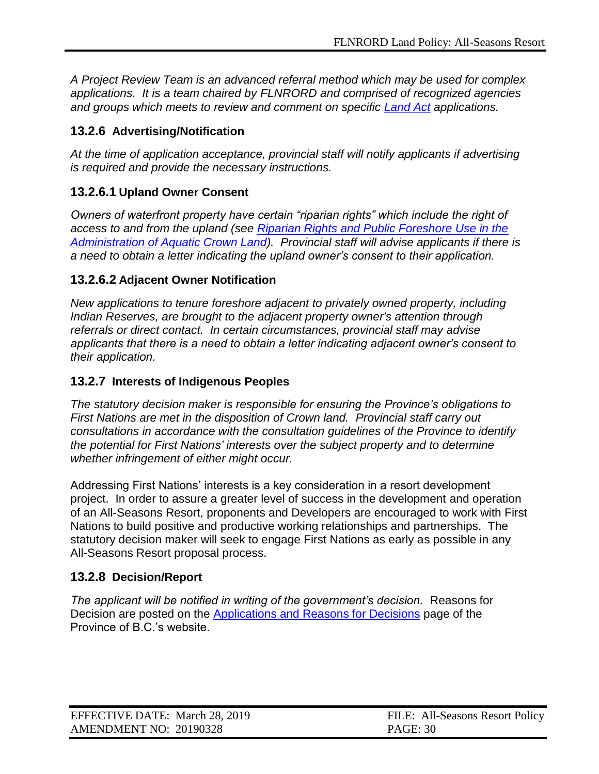*A Project Review Team is an advanced referral method which may be used for complex applications. It is a team chaired by FLNRORD and comprised of recognized agencies and groups which meets to review and comment on specific [Land Act](http://www.bclaws.ca/civix/document/id/complete/statreg/96245_01) applications.*

### <span id="page-29-0"></span>**13.2.6 Advertising/Notification**

*At the time of application acceptance, provincial staff will notify applicants if advertising is required and provide the necessary instructions.*

# <span id="page-29-1"></span>**13.2.6.1 Upland Owner Consent**

*Owners of waterfront property have certain "riparian rights" which include the right of access to and from the upland (see [Riparian Rights and Public Foreshore Use in the](http://www.obwb.ca/fileadmin/docs/riparian_2008_bc_government.pdf)  [Administration of Aquatic Crown Land\)](http://www.obwb.ca/fileadmin/docs/riparian_2008_bc_government.pdf). Provincial staff will advise applicants if there is a need to obtain a letter indicating the upland owner's consent to their application.*

### <span id="page-29-2"></span>**13.2.6.2 Adjacent Owner Notification**

*New applications to tenure foreshore adjacent to privately owned property, including Indian Reserves, are brought to the adjacent property owner's attention through referrals or direct contact. In certain circumstances, provincial staff may advise applicants that there is a need to obtain a letter indicating adjacent owner's consent to their application.*

### <span id="page-29-3"></span>**13.2.7 Interests of Indigenous Peoples**

*The statutory decision maker is responsible for ensuring the Province's obligations to First Nations are met in the disposition of Crown land. Provincial staff carry out consultations in accordance with the consultation guidelines of the Province to identify the potential for First Nations' interests over the subject property and to determine whether infringement of either might occur.*

Addressing First Nations' interests is a key consideration in a resort development project. In order to assure a greater level of success in the development and operation of an All-Seasons Resort, proponents and Developers are encouraged to work with First Nations to build positive and productive working relationships and partnerships. The statutory decision maker will seek to engage First Nations as early as possible in any All-Seasons Resort proposal process.

#### <span id="page-29-4"></span>**13.2.8 Decision/Report**

*The applicant will be notified in writing of the government's decision.* [Reasons for](http://www2.lwbc.bc.ca/ApplicationPosting/index.jsp)  [Decision](http://www2.lwbc.bc.ca/ApplicationPosting/index.jsp) are posted on the [Applications and Reasons for Decisions](https://arfd.gov.bc.ca/ApplicationPosting/index.jsp) page of the Province of B.C.'s website.

| EFFECTIVE DATE: March 28, 2019 | FILE: All-Seasons Resort Policy |
|--------------------------------|---------------------------------|
| AMENDMENT NO: 20190328         | <b>PAGE: 30</b>                 |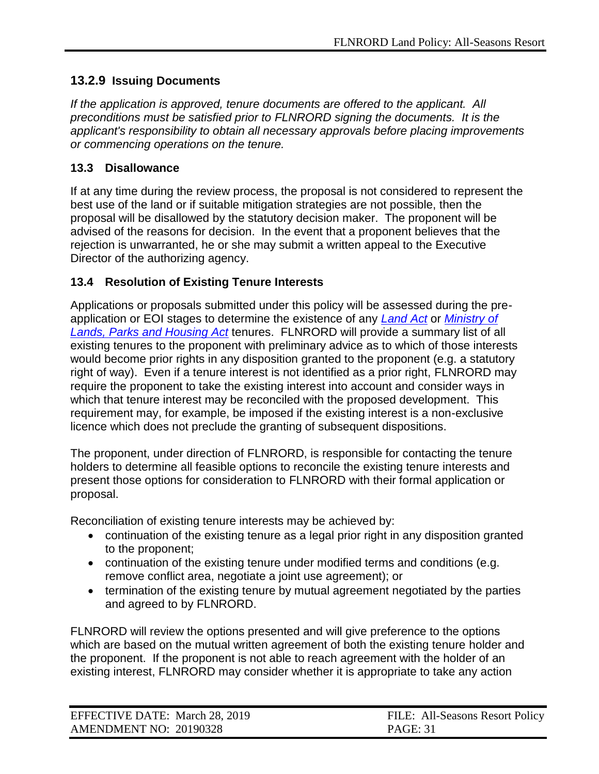# <span id="page-30-0"></span>**13.2.9 Issuing Documents**

*If the application is approved, tenure documents are offered to the applicant. All preconditions must be satisfied prior to FLNRORD signing the documents. It is the applicant's responsibility to obtain all necessary approvals before placing improvements or commencing operations on the tenure.*

### <span id="page-30-1"></span>**13.3 Disallowance**

If at any time during the review process, the proposal is not considered to represent the best use of the land or if suitable mitigation strategies are not possible, then the proposal will be disallowed by the statutory decision maker. The proponent will be advised of the reasons for decision. In the event that a proponent believes that the rejection is unwarranted, he or she may submit a written appeal to the Executive Director of the authorizing agency.

# <span id="page-30-2"></span>**13.4 Resolution of Existing Tenure Interests**

Applications or proposals submitted under this policy will be assessed during the preapplication or EOI stages to determine the existence of any *[Land Act](http://www.bclaws.ca/civix/document/id/complete/statreg/96245_01)* or *[Ministry of](http://www.bclaws.ca/Recon/document/freeside/--%20m%20--/ministry%20of%20lands%20%20parks%20and%20housing%20act%20%20rsbc%201996%20%20c.%20307/00_96307_01.xml)  [Lands, Parks and Housing Act](http://www.bclaws.ca/Recon/document/freeside/--%20m%20--/ministry%20of%20lands%20%20parks%20and%20housing%20act%20%20rsbc%201996%20%20c.%20307/00_96307_01.xml)* tenures. FLNRORD will provide a summary list of all existing tenures to the proponent with preliminary advice as to which of those interests would become prior rights in any disposition granted to the proponent (e.g. a statutory right of way). Even if a tenure interest is not identified as a prior right, FLNRORD may require the proponent to take the existing interest into account and consider ways in which that tenure interest may be reconciled with the proposed development. This requirement may, for example, be imposed if the existing interest is a non-exclusive licence which does not preclude the granting of subsequent dispositions.

The proponent, under direction of FLNRORD, is responsible for contacting the tenure holders to determine all feasible options to reconcile the existing tenure interests and present those options for consideration to FLNRORD with their formal application or proposal.

Reconciliation of existing tenure interests may be achieved by:

- continuation of the existing tenure as a legal prior right in any disposition granted to the proponent;
- continuation of the existing tenure under modified terms and conditions (e.g. remove conflict area, negotiate a joint use agreement); or
- termination of the existing tenure by mutual agreement negotiated by the parties and agreed to by FLNRORD.

FLNRORD will review the options presented and will give preference to the options which are based on the mutual written agreement of both the existing tenure holder and the proponent. If the proponent is not able to reach agreement with the holder of an existing interest, FLNRORD may consider whether it is appropriate to take any action

| EFFECTIVE DATE: March 28, 2019 | FILE: All-Seasons Resort Policy |
|--------------------------------|---------------------------------|
| AMENDMENT NO: 20190328         | <b>PAGE: 31</b>                 |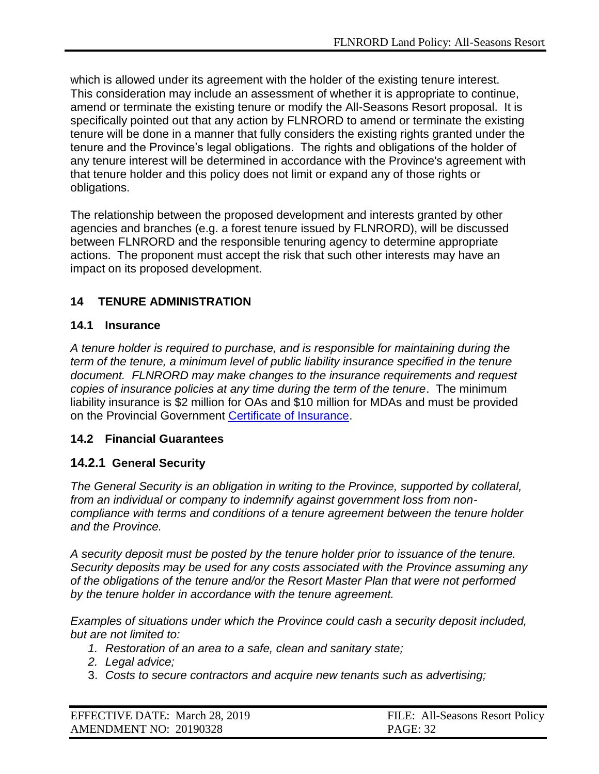which is allowed under its agreement with the holder of the existing tenure interest. This consideration may include an assessment of whether it is appropriate to continue, amend or terminate the existing tenure or modify the All-Seasons Resort proposal. It is specifically pointed out that any action by FLNRORD to amend or terminate the existing tenure will be done in a manner that fully considers the existing rights granted under the tenure and the Province's legal obligations. The rights and obligations of the holder of any tenure interest will be determined in accordance with the Province's agreement with that tenure holder and this policy does not limit or expand any of those rights or obligations.

The relationship between the proposed development and interests granted by other agencies and branches (e.g. a forest tenure issued by FLNRORD), will be discussed between FLNRORD and the responsible tenuring agency to determine appropriate actions. The proponent must accept the risk that such other interests may have an impact on its proposed development.

# <span id="page-31-0"></span>**14 TENURE ADMINISTRATION**

#### <span id="page-31-1"></span>**14.1 Insurance**

*A tenure holder is required to purchase, and is responsible for maintaining during the term of the tenure, a minimum level of public liability insurance specified in the tenure document. FLNRORD may make changes to the insurance requirements and request copies of insurance policies at any time during the term of the tenure*. The minimum liability insurance is \$2 million for OAs and \$10 million for MDAs and must be provided on the Provincial Government [Certificate of Insurance.](https://www2.gov.bc.ca/gov/content/governments/services-for-government/bc-bid-resources/support-services/risk-management/insurance)

#### <span id="page-31-2"></span>**14.2 Financial Guarantees**

#### <span id="page-31-3"></span>**14.2.1 General Security**

*The General Security is an obligation in writing to the Province, supported by collateral, from an individual or company to indemnify against government loss from noncompliance with terms and conditions of a tenure agreement between the tenure holder and the Province.*

*A security deposit must be posted by the tenure holder prior to issuance of the tenure. Security deposits may be used for any costs associated with the Province assuming any of the obligations of the tenure and/or the Resort Master Plan that were not performed by the tenure holder in accordance with the tenure agreement.*

*Examples of situations under which the Province could cash a security deposit included, but are not limited to:*

- *1. Restoration of an area to a safe, clean and sanitary state;*
- *2. Legal advice;*
- 3. *Costs to secure contractors and acquire new tenants such as advertising;*

| EFFECTIVE DATE: March 28, 2019 | FILE: All-Seasons Resort Policy |
|--------------------------------|---------------------------------|
| AMENDMENT NO: 20190328         | <b>PAGE: 32</b>                 |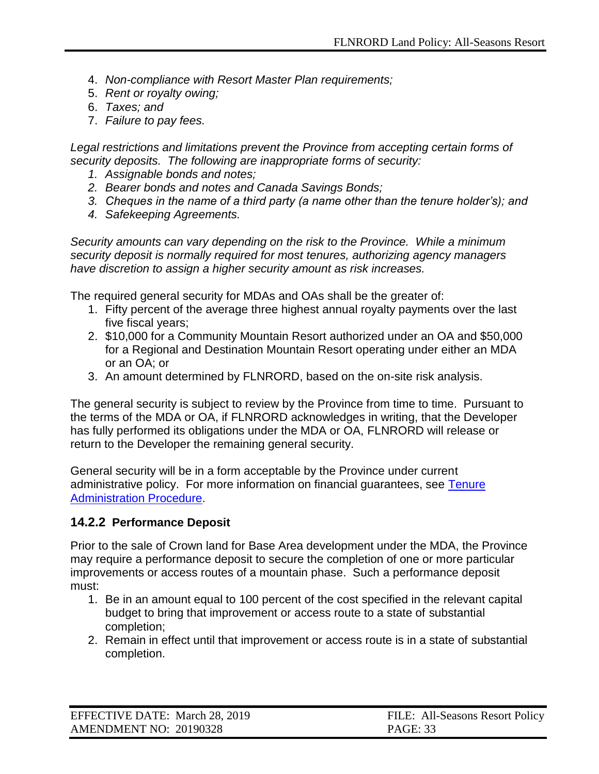- 4. *Non-compliance with Resort Master Plan requirements;*
- 5. *Rent or royalty owing;*
- 6. *Taxes; and*
- 7. *Failure to pay fees.*

*Legal restrictions and limitations prevent the Province from accepting certain forms of security deposits. The following are inappropriate forms of security:*

- *1. Assignable bonds and notes;*
- *2. Bearer bonds and notes and Canada Savings Bonds;*
- *3. Cheques in the name of a third party (a name other than the tenure holder's); and*
- *4. Safekeeping Agreements.*

*Security amounts can vary depending on the risk to the Province. While a minimum security deposit is normally required for most tenures, authorizing agency managers have discretion to assign a higher security amount as risk increases.*

The required general security for MDAs and OAs shall be the greater of:

- 1. Fifty percent of the average three highest annual royalty payments over the last five fiscal years;
- 2. \$10,000 for a Community Mountain Resort authorized under an OA and \$50,000 for a Regional and Destination Mountain Resort operating under either an MDA or an OA; or
- 3. An amount determined by FLNRORD, based on the on-site risk analysis.

The general security is subject to review by the Province from time to time. Pursuant to the terms of the MDA or OA, if FLNRORD acknowledges in writing, that the Developer has fully performed its obligations under the MDA or OA, FLNRORD will release or return to the Developer the remaining general security.

General security will be in a form acceptable by the Province under current administrative policy. For more information on financial guarantees, see [Tenure](https://www2.gov.bc.ca/assets/gov/farming-natural-resources-and-industry/natural-resource-use/land-water-use/crown-land/ta_general.pdf)  [Administration Procedure.](https://www2.gov.bc.ca/assets/gov/farming-natural-resources-and-industry/natural-resource-use/land-water-use/crown-land/ta_general.pdf)

#### <span id="page-32-0"></span>**14.2.2 Performance Deposit**

Prior to the sale of Crown land for Base Area development under the MDA, the Province may require a performance deposit to secure the completion of one or more particular improvements or access routes of a mountain phase. Such a performance deposit must:

- 1. Be in an amount equal to 100 percent of the cost specified in the relevant capital budget to bring that improvement or access route to a state of substantial completion;
- 2. Remain in effect until that improvement or access route is in a state of substantial completion.

| EFFECTIVE DATE: March 28, 2019 | FILE: All-Seasons Resort Policy |
|--------------------------------|---------------------------------|
| AMENDMENT NO: 20190328         | <b>PAGE: 33</b>                 |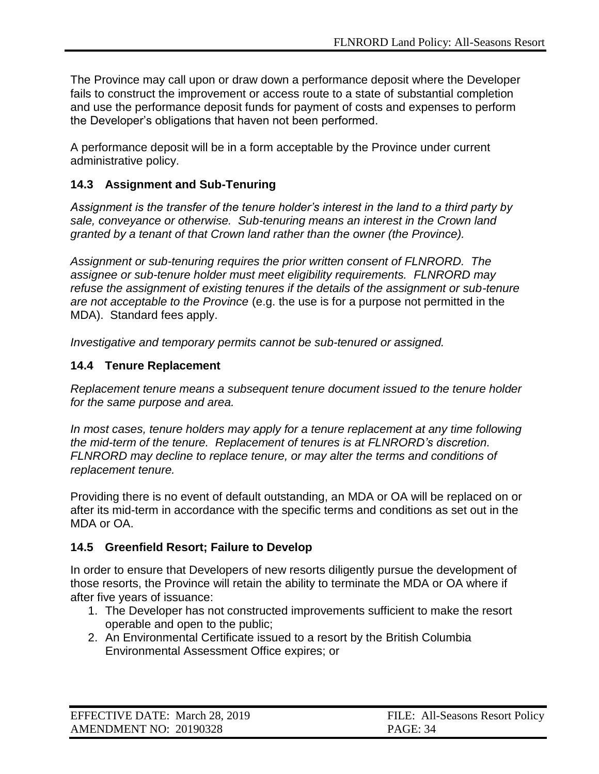The Province may call upon or draw down a performance deposit where the Developer fails to construct the improvement or access route to a state of substantial completion and use the performance deposit funds for payment of costs and expenses to perform the Developer's obligations that haven not been performed.

A performance deposit will be in a form acceptable by the Province under current administrative policy.

### <span id="page-33-0"></span>**14.3 Assignment and Sub-Tenuring**

*Assignment is the transfer of the tenure holder's interest in the land to a third party by sale, conveyance or otherwise. Sub-tenuring means an interest in the Crown land granted by a tenant of that Crown land rather than the owner (the Province).*

*Assignment or sub-tenuring requires the prior written consent of FLNRORD. The assignee or sub-tenure holder must meet eligibility requirements. FLNRORD may refuse the assignment of existing tenures if the details of the assignment or sub-tenure are not acceptable to the Province* (e.g. the use is for a purpose not permitted in the MDA). Standard fees apply.

*Investigative and temporary permits cannot be sub-tenured or assigned.*

#### <span id="page-33-1"></span>**14.4 Tenure Replacement**

*Replacement tenure means a subsequent tenure document issued to the tenure holder for the same purpose and area.*

In most cases, tenure holders may apply for a tenure replacement at any time following *the mid-term of the tenure. Replacement of tenures is at FLNRORD's discretion. FLNRORD may decline to replace tenure, or may alter the terms and conditions of replacement tenure.*

Providing there is no event of default outstanding, an MDA or OA will be replaced on or after its mid-term in accordance with the specific terms and conditions as set out in the MDA or OA.

#### <span id="page-33-2"></span>**14.5 Greenfield Resort; Failure to Develop**

In order to ensure that Developers of new resorts diligently pursue the development of those resorts, the Province will retain the ability to terminate the MDA or OA where if after five years of issuance:

- 1. The Developer has not constructed improvements sufficient to make the resort operable and open to the public;
- 2. An Environmental Certificate issued to a resort by the British Columbia Environmental Assessment Office expires; or

| EFFECTIVE DATE: March 28, 2019 | FILE: All-Seasons Resort Policy |
|--------------------------------|---------------------------------|
| AMENDMENT NO: 20190328         | <b>PAGE: 34</b>                 |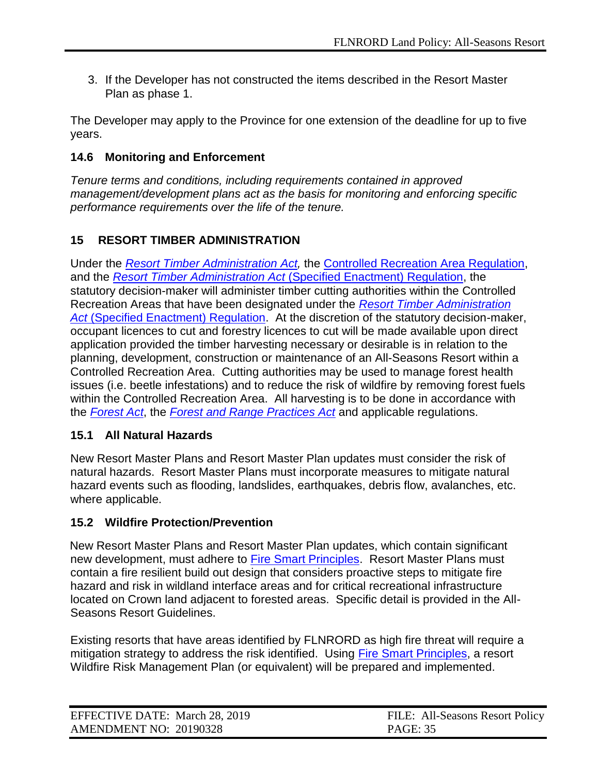3. If the Developer has not constructed the items described in the Resort Master Plan as phase 1.

The Developer may apply to the Province for one extension of the deadline for up to five years.

#### <span id="page-34-0"></span>**14.6 Monitoring and Enforcement**

*Tenure terms and conditions, including requirements contained in approved management/development plans act as the basis for monitoring and enforcing specific performance requirements over the life of the tenure.*

# <span id="page-34-1"></span>**15 RESORT TIMBER ADMINISTRATION**

Under the *[Resort Timber Administration Act,](http://www.bclaws.ca/EPLibraries/bclaws_new/document/ID/freeside/00_06030_01)* the [Controlled Recreation Area Regulation,](http://www.bclaws.ca/EPLibraries/bclaws_new/document/ID/freeside/681478536) and the *Resort Timber Administration Act* [\(Specified Enactment\) Regulation,](http://www.bclaws.ca/civix/document/id/complete/statreg/151_2007) the statutory decision-maker will administer timber cutting authorities within the Controlled Recreation Areas that have been designated under the *[Resort Timber Administration](http://www.bclaws.ca/civix/document/id/complete/statreg/151_2007)  Act* [\(Specified Enactment\) Regulation.](http://www.bclaws.ca/civix/document/id/complete/statreg/151_2007) At the discretion of the statutory decision-maker, occupant licences to cut and forestry licences to cut will be made available upon direct application provided the timber harvesting necessary or desirable is in relation to the planning, development, construction or maintenance of an All-Seasons Resort within a Controlled Recreation Area. Cutting authorities may be used to manage forest health issues (i.e. beetle infestations) and to reduce the risk of wildfire by removing forest fuels within the Controlled Recreation Area. All harvesting is to be done in accordance with the *[Forest Act](http://www.bclaws.ca/Recon/document/freeside/--%20f%20--/forest%20act%20%20rsbc%201996%20%20c.%20157/00_act/96157_00.htm)*, the *[Forest and Range Practices Act](http://www.bclaws.ca/Recon/document/freeside/--%20f%20--/forest%20and%20range%20practices%20act%20%20sbc%202002%20%20c.%2069/00_02069_01.xml)* and applicable regulations.

#### <span id="page-34-2"></span>**15.1 All Natural Hazards**

New Resort Master Plans and Resort Master Plan updates must consider the risk of natural hazards. Resort Master Plans must incorporate measures to mitigate natural hazard events such as flooding, landslides, earthquakes, debris flow, avalanches, etc. where applicable.

#### <span id="page-34-3"></span>**15.2 Wildfire Protection/Prevention**

New Resort Master Plans and Resort Master Plan updates, which contain significant new development, must adhere to [Fire Smart Principles.](https://www.firesmartcanada.ca/resources-library/protecting-your-community-from-wildfire) Resort Master Plans must contain a fire resilient build out design that considers proactive steps to mitigate fire hazard and risk in wildland interface areas and for critical recreational infrastructure located on Crown land adjacent to forested areas. Specific detail is provided in the All-Seasons Resort Guidelines.

Existing resorts that have areas identified by FLNRORD as high fire threat will require a mitigation strategy to address the risk identified. Using [Fire Smart Principles,](https://www.firesmartcanada.ca/resources-library/protecting-your-community-from-wildfire) a resort Wildfire Risk Management Plan (or equivalent) will be prepared and implemented.

| EFFECTIVE DATE: March 28, 2019 | FILE: All-Seasons Resort Policy |
|--------------------------------|---------------------------------|
| AMENDMENT NO: 20190328         | <b>PAGE: 35</b>                 |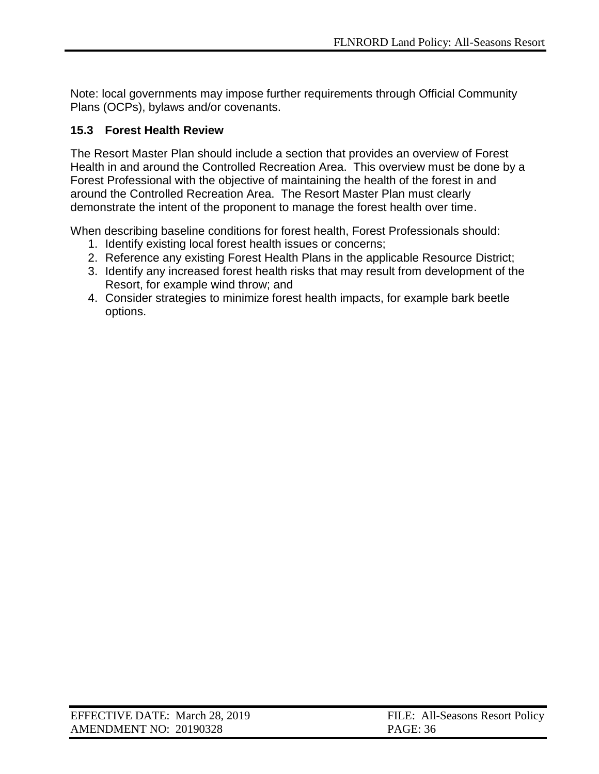Note: local governments may impose further requirements through Official Community Plans (OCPs), bylaws and/or covenants.

#### <span id="page-35-0"></span>**15.3 Forest Health Review**

The Resort Master Plan should include a section that provides an overview of Forest Health in and around the Controlled Recreation Area. This overview must be done by a Forest Professional with the objective of maintaining the health of the forest in and around the Controlled Recreation Area. The Resort Master Plan must clearly demonstrate the intent of the proponent to manage the forest health over time.

When describing baseline conditions for forest health, Forest Professionals should:

- 1. Identify existing local forest health issues or concerns;
- 2. Reference any existing Forest Health Plans in the applicable Resource District;
- 3. Identify any increased forest health risks that may result from development of the Resort, for example wind throw; and
- 4. Consider strategies to minimize forest health impacts, for example bark beetle options.

| EFFECTIVE DATE: March 28, 2019 | FILE: All-Seasons Resort Policy |
|--------------------------------|---------------------------------|
| AMENDMENT NO: 20190328         | <b>PAGE: 36</b>                 |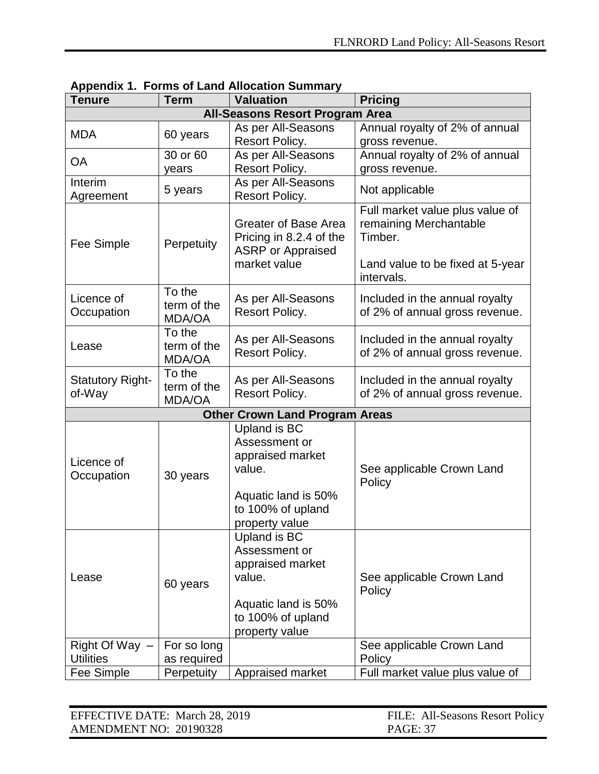| Tenure                                 | <b>Term</b>             | <b>Valuation</b>                         | <b>Pricing</b>                                            |
|----------------------------------------|-------------------------|------------------------------------------|-----------------------------------------------------------|
| <b>All-Seasons Resort Program Area</b> |                         |                                          |                                                           |
| <b>MDA</b>                             | 60 years                | As per All-Seasons                       | Annual royalty of 2% of annual                            |
|                                        |                         | Resort Policy.                           | gross revenue.                                            |
| <b>OA</b>                              | 30 or 60                | As per All-Seasons                       | Annual royalty of 2% of annual                            |
|                                        | years                   | Resort Policy.                           | gross revenue.                                            |
| Interim                                | 5 years                 | As per All-Seasons                       | Not applicable                                            |
| Agreement                              |                         | Resort Policy.                           |                                                           |
|                                        |                         | <b>Greater of Base Area</b>              | Full market value plus value of<br>remaining Merchantable |
|                                        |                         | Pricing in 8.2.4 of the                  | Timber.                                                   |
| Fee Simple                             | Perpetuity              | <b>ASRP</b> or Appraised                 |                                                           |
|                                        |                         | market value                             | Land value to be fixed at 5-year                          |
|                                        |                         |                                          | intervals.                                                |
| Licence of                             | To the                  | As per All-Seasons                       | Included in the annual royalty                            |
| Occupation                             | term of the             | Resort Policy.                           | of 2% of annual gross revenue.                            |
|                                        | <b>MDA/OA</b>           |                                          |                                                           |
|                                        | To the                  | As per All-Seasons                       | Included in the annual royalty                            |
| Lease                                  | term of the             | Resort Policy.                           | of 2% of annual gross revenue.                            |
|                                        | <b>MDA/OA</b><br>To the |                                          |                                                           |
| <b>Statutory Right-</b>                | term of the             | As per All-Seasons                       | Included in the annual royalty                            |
| of-Way                                 | <b>MDA/OA</b>           | Resort Policy.                           | of 2% of annual gross revenue.                            |
|                                        |                         | <b>Other Crown Land Program Areas</b>    |                                                           |
|                                        |                         | Upland is BC                             |                                                           |
|                                        |                         | Assessment or                            |                                                           |
| Licence of                             |                         | appraised market                         |                                                           |
| Occupation                             | 30 years                | value.                                   | See applicable Crown Land                                 |
|                                        |                         |                                          | Policy                                                    |
|                                        |                         | Aquatic land is 50%<br>to 100% of upland |                                                           |
|                                        |                         | property value                           |                                                           |
|                                        |                         | Upland is BC                             |                                                           |
|                                        |                         | Assessment or                            |                                                           |
|                                        |                         | appraised market                         |                                                           |
| Lease                                  |                         | value.                                   | See applicable Crown Land                                 |
|                                        | 60 years                |                                          | Policy                                                    |
|                                        |                         | Aquatic land is 50%                      |                                                           |
|                                        |                         | to 100% of upland                        |                                                           |
|                                        |                         | property value                           |                                                           |
| Right Of Way $-$<br><b>Utilities</b>   | For so long             |                                          | See applicable Crown Land                                 |
|                                        | as required             |                                          | Policy                                                    |
| Fee Simple                             | Perpetuity              | Appraised market                         | Full market value plus value of                           |

#### <span id="page-36-0"></span>**Appendix 1. Forms of Land Allocation Summary**

| EFFECTIVE DATE: March 28, 2019 | FILE: All-Seasons Resort Policy |
|--------------------------------|---------------------------------|
| AMENDMENT NO: 20190328         | <b>PAGE: 37</b>                 |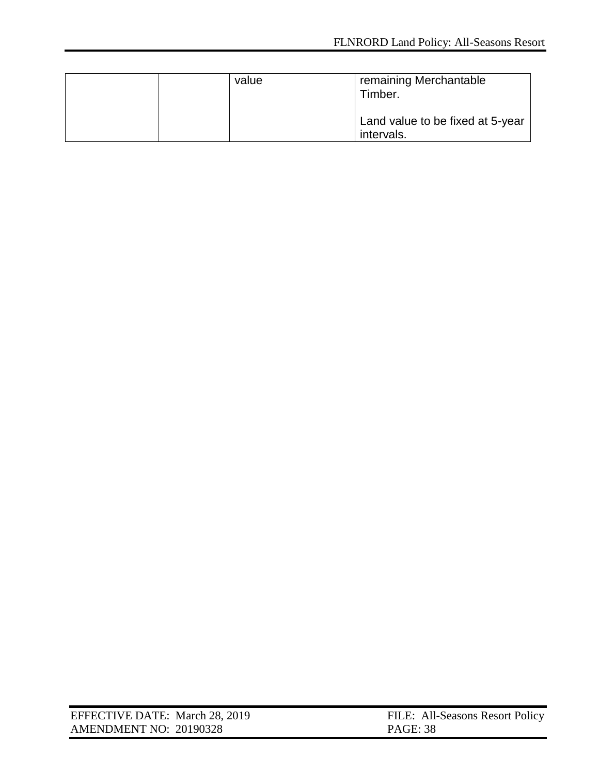|  | value | remaining Merchantable<br>Timber.              |
|--|-------|------------------------------------------------|
|  |       | Land value to be fixed at 5-year<br>intervals. |

| EFFECTIVE DATE: March 28, 2019 | FILE: All-Seasons Resort Policy |
|--------------------------------|---------------------------------|
| AMENDMENT NO: 20190328         | <b>PAGE: 38</b>                 |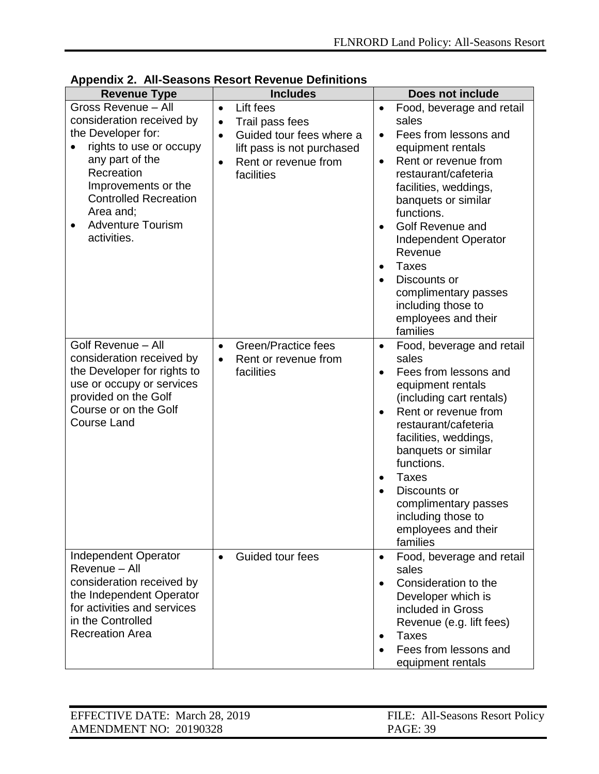| <b>Revenue Type</b>                                                                                                                                                                                                                                            | <b>Includes</b>                                                                                                                                                                  | <b>Does not include</b>                                                                                                                                                                                                                                                                                                                                                                                                                                     |
|----------------------------------------------------------------------------------------------------------------------------------------------------------------------------------------------------------------------------------------------------------------|----------------------------------------------------------------------------------------------------------------------------------------------------------------------------------|-------------------------------------------------------------------------------------------------------------------------------------------------------------------------------------------------------------------------------------------------------------------------------------------------------------------------------------------------------------------------------------------------------------------------------------------------------------|
| Gross Revenue - All<br>consideration received by<br>the Developer for:<br>rights to use or occupy<br>$\bullet$<br>any part of the<br>Recreation<br>Improvements or the<br><b>Controlled Recreation</b><br>Area and;<br><b>Adventure Tourism</b><br>activities. | Lift fees<br>$\bullet$<br>Trail pass fees<br>$\bullet$<br>Guided tour fees where a<br>$\bullet$<br>lift pass is not purchased<br>Rent or revenue from<br>$\bullet$<br>facilities | Food, beverage and retail<br>$\bullet$<br>sales<br>Fees from lessons and<br>$\bullet$<br>equipment rentals<br>Rent or revenue from<br>$\bullet$<br>restaurant/cafeteria<br>facilities, weddings,<br>banquets or similar<br>functions.<br>Golf Revenue and<br>$\bullet$<br><b>Independent Operator</b><br>Revenue<br><b>Taxes</b><br>$\bullet$<br>Discounts or<br>$\bullet$<br>complimentary passes<br>including those to<br>employees and their<br>families |
| Golf Revenue - All<br>consideration received by<br>the Developer for rights to<br>use or occupy or services<br>provided on the Golf<br>Course or on the Golf<br><b>Course Land</b>                                                                             | Green/Practice fees<br>$\bullet$<br>Rent or revenue from<br>$\bullet$<br>facilities                                                                                              | Food, beverage and retail<br>$\bullet$<br>sales<br>Fees from lessons and<br>$\bullet$<br>equipment rentals<br>(including cart rentals)<br>Rent or revenue from<br>$\bullet$<br>restaurant/cafeteria<br>facilities, weddings,<br>banquets or similar<br>functions.<br><b>Taxes</b><br>$\bullet$<br>Discounts or<br>$\bullet$<br>complimentary passes<br>including those to<br>employees and their<br>families                                                |
| Independent Operator<br>Revenue - All<br>consideration received by<br>the Independent Operator<br>for activities and services<br>in the Controlled<br><b>Recreation Area</b>                                                                                   | Guided tour fees<br>$\bullet$                                                                                                                                                    | Food, beverage and retail<br>$\bullet$<br>sales<br>Consideration to the<br>$\bullet$<br>Developer which is<br>included in Gross<br>Revenue (e.g. lift fees)<br><b>Taxes</b><br>$\bullet$<br>Fees from lessons and<br>equipment rentals                                                                                                                                                                                                                      |

<span id="page-38-0"></span>

|  |  | <b>Appendix 2. All-Seasons Resort Revenue Definitions</b> |  |
|--|--|-----------------------------------------------------------|--|
|--|--|-----------------------------------------------------------|--|

| EFFECTIVE DATE: March 28, 2019 | FILE: All-Seasons Resort Policy |
|--------------------------------|---------------------------------|
| AMENDMENT NO: 20190328         | PAGE: 39                        |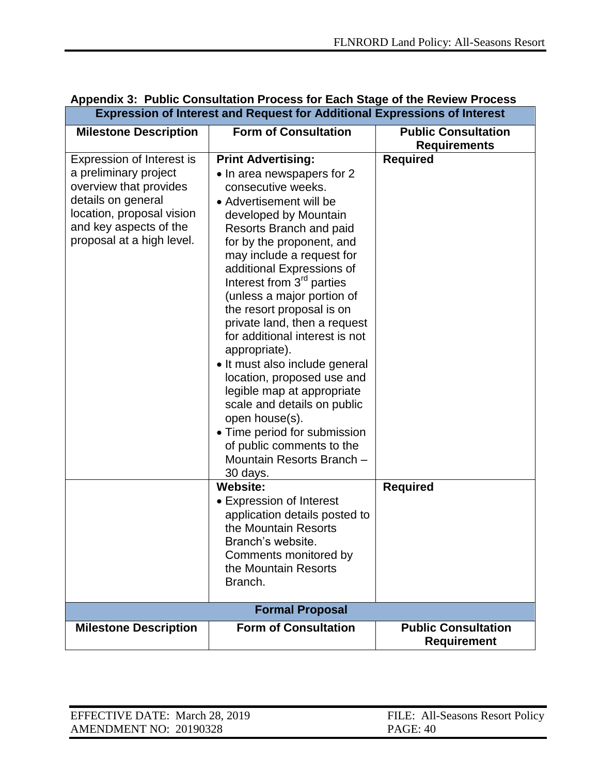| <b>Milestone Description</b>                                                                                                                                                           | <b>Form of Consultation</b>                                                                                                                                                                                                                                                                                                                                                                                                                                                                                                                                                                                                                                                                     | <b>Public Consultation</b><br><b>Requirements</b> |
|----------------------------------------------------------------------------------------------------------------------------------------------------------------------------------------|-------------------------------------------------------------------------------------------------------------------------------------------------------------------------------------------------------------------------------------------------------------------------------------------------------------------------------------------------------------------------------------------------------------------------------------------------------------------------------------------------------------------------------------------------------------------------------------------------------------------------------------------------------------------------------------------------|---------------------------------------------------|
| Expression of Interest is<br>a preliminary project<br>overview that provides<br>details on general<br>location, proposal vision<br>and key aspects of the<br>proposal at a high level. | <b>Print Advertising:</b><br>• In area newspapers for 2<br>consecutive weeks.<br>• Advertisement will be<br>developed by Mountain<br>Resorts Branch and paid<br>for by the proponent, and<br>may include a request for<br>additional Expressions of<br>Interest from 3 <sup>rd</sup> parties<br>(unless a major portion of<br>the resort proposal is on<br>private land, then a request<br>for additional interest is not<br>appropriate).<br>• It must also include general<br>location, proposed use and<br>legible map at appropriate<br>scale and details on public<br>open house(s).<br>• Time period for submission<br>of public comments to the<br>Mountain Resorts Branch -<br>30 days. | <b>Required</b>                                   |
|                                                                                                                                                                                        | <b>Website:</b><br>• Expression of Interest<br>application details posted to                                                                                                                                                                                                                                                                                                                                                                                                                                                                                                                                                                                                                    | <b>Required</b>                                   |
|                                                                                                                                                                                        | the Mountain Resorts<br>Branch's website.                                                                                                                                                                                                                                                                                                                                                                                                                                                                                                                                                                                                                                                       |                                                   |
|                                                                                                                                                                                        | Comments monitored by<br>the Mountain Resorts<br>Branch.                                                                                                                                                                                                                                                                                                                                                                                                                                                                                                                                                                                                                                        |                                                   |
|                                                                                                                                                                                        | <b>Formal Proposal</b>                                                                                                                                                                                                                                                                                                                                                                                                                                                                                                                                                                                                                                                                          |                                                   |
| <b>Milestone Description</b>                                                                                                                                                           | <b>Form of Consultation</b>                                                                                                                                                                                                                                                                                                                                                                                                                                                                                                                                                                                                                                                                     | <b>Public Consultation</b><br><b>Requirement</b>  |

### <span id="page-39-0"></span>**Appendix 3: Public Consultation Process for Each Stage of the Review Process Expression of Interest and Request for Additional Expressions of Interest**

| EFFECTIVE DATE: March 28, 2019 | FILE: All-Seasons Resort Policy |
|--------------------------------|---------------------------------|
| AMENDMENT NO: 20190328         | PAGE: 40                        |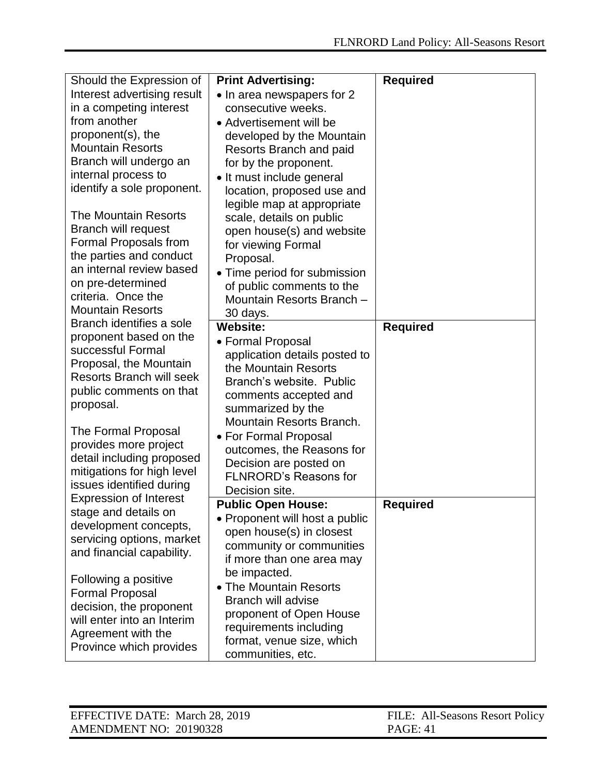| Should the Expression of                                  | <b>Print Advertising:</b>                      | <b>Required</b> |
|-----------------------------------------------------------|------------------------------------------------|-----------------|
| Interest advertising result                               | • In area newspapers for 2                     |                 |
| in a competing interest                                   | consecutive weeks.                             |                 |
| from another                                              | • Advertisement will be                        |                 |
| proponent(s), the                                         | developed by the Mountain                      |                 |
| <b>Mountain Resorts</b>                                   | Resorts Branch and paid                        |                 |
| Branch will undergo an                                    | for by the proponent.                          |                 |
| internal process to                                       | • It must include general                      |                 |
| identify a sole proponent.                                | location, proposed use and                     |                 |
|                                                           | legible map at appropriate                     |                 |
| <b>The Mountain Resorts</b>                               | scale, details on public                       |                 |
| <b>Branch will request</b>                                | open house(s) and website                      |                 |
| Formal Proposals from                                     | for viewing Formal                             |                 |
| the parties and conduct                                   | Proposal.                                      |                 |
| an internal review based                                  | • Time period for submission                   |                 |
| on pre-determined                                         | of public comments to the                      |                 |
| criteria. Once the                                        | Mountain Resorts Branch -                      |                 |
| <b>Mountain Resorts</b>                                   | 30 days.                                       |                 |
| Branch identifies a sole                                  | <b>Website:</b>                                | <b>Required</b> |
| proponent based on the                                    | • Formal Proposal                              |                 |
| successful Formal                                         | application details posted to                  |                 |
| Proposal, the Mountain<br><b>Resorts Branch will seek</b> | the Mountain Resorts                           |                 |
| public comments on that                                   | Branch's website. Public                       |                 |
| proposal.                                                 | comments accepted and                          |                 |
|                                                           | summarized by the                              |                 |
| The Formal Proposal                                       | Mountain Resorts Branch.                       |                 |
| provides more project                                     | • For Formal Proposal                          |                 |
| detail including proposed                                 | outcomes, the Reasons for                      |                 |
| mitigations for high level                                | Decision are posted on                         |                 |
| issues identified during                                  | <b>FLNRORD's Reasons for</b>                   |                 |
| <b>Expression of Interest</b>                             | Decision site.                                 |                 |
| stage and details on                                      | <b>Public Open House:</b>                      | <b>Required</b> |
| development concepts,                                     | • Proponent will host a public                 |                 |
| servicing options, market                                 |                                                |                 |
|                                                           | open house(s) in closest                       |                 |
| and financial capability.                                 | community or communities                       |                 |
|                                                           | if more than one area may                      |                 |
| Following a positive                                      | be impacted.                                   |                 |
| <b>Formal Proposal</b>                                    | • The Mountain Resorts                         |                 |
| decision, the proponent                                   | <b>Branch will advise</b>                      |                 |
| will enter into an Interim                                | proponent of Open House                        |                 |
| Agreement with the                                        | requirements including                         |                 |
| Province which provides                                   | format, venue size, which<br>communities, etc. |                 |

| EFFECTIVE DATE: March 28, 2019 | FILE: All-Seasons Resort Policy |
|--------------------------------|---------------------------------|
| AMENDMENT NO: 20190328         | PAGE: 41                        |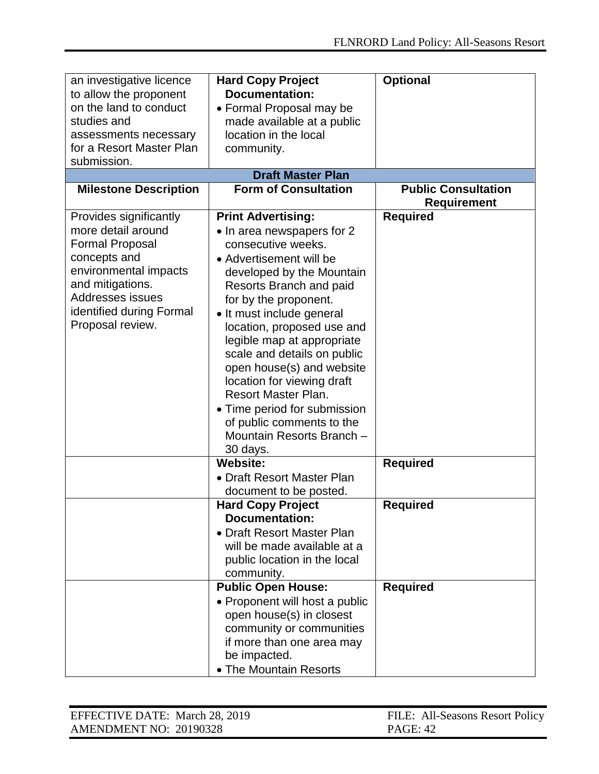| an investigative licence<br>to allow the proponent<br>on the land to conduct<br>studies and<br>assessments necessary<br>for a Resort Master Plan<br>submission.                                         | <b>Hard Copy Project</b><br><b>Documentation:</b><br>• Formal Proposal may be<br>made available at a public<br>location in the local<br>community.<br><b>Draft Master Plan</b>                                                                                                                                                                                                                                                                                                                            | <b>Optional</b>            |  |
|---------------------------------------------------------------------------------------------------------------------------------------------------------------------------------------------------------|-----------------------------------------------------------------------------------------------------------------------------------------------------------------------------------------------------------------------------------------------------------------------------------------------------------------------------------------------------------------------------------------------------------------------------------------------------------------------------------------------------------|----------------------------|--|
| <b>Milestone Description</b>                                                                                                                                                                            | <b>Form of Consultation</b>                                                                                                                                                                                                                                                                                                                                                                                                                                                                               | <b>Public Consultation</b> |  |
|                                                                                                                                                                                                         |                                                                                                                                                                                                                                                                                                                                                                                                                                                                                                           | <b>Requirement</b>         |  |
| Provides significantly<br>more detail around<br><b>Formal Proposal</b><br>concepts and<br>environmental impacts<br>and mitigations.<br>Addresses issues<br>identified during Formal<br>Proposal review. | <b>Print Advertising:</b><br>• In area newspapers for 2<br>consecutive weeks.<br>• Advertisement will be<br>developed by the Mountain<br>Resorts Branch and paid<br>for by the proponent.<br>• It must include general<br>location, proposed use and<br>legible map at appropriate<br>scale and details on public<br>open house(s) and website<br>location for viewing draft<br>Resort Master Plan.<br>• Time period for submission<br>of public comments to the<br>Mountain Resorts Branch -<br>30 days. | <b>Required</b>            |  |
|                                                                                                                                                                                                         | <b>Website:</b>                                                                                                                                                                                                                                                                                                                                                                                                                                                                                           | <b>Required</b>            |  |
|                                                                                                                                                                                                         | • Draft Resort Master Plan<br>document to be posted.                                                                                                                                                                                                                                                                                                                                                                                                                                                      |                            |  |
|                                                                                                                                                                                                         | <b>Hard Copy Project</b><br><b>Documentation:</b><br>• Draft Resort Master Plan<br>will be made available at a<br>public location in the local<br>community.                                                                                                                                                                                                                                                                                                                                              | <b>Required</b>            |  |
|                                                                                                                                                                                                         | <b>Public Open House:</b><br>• Proponent will host a public<br>open house(s) in closest<br>community or communities<br>if more than one area may<br>be impacted.<br>• The Mountain Resorts                                                                                                                                                                                                                                                                                                                | <b>Required</b>            |  |

| EFFECTIVE DATE: March 28, 2019 | FILE: All-Seasons Resort Policy |
|--------------------------------|---------------------------------|
| AMENDMENT NO: 20190328         | PAGE: 42                        |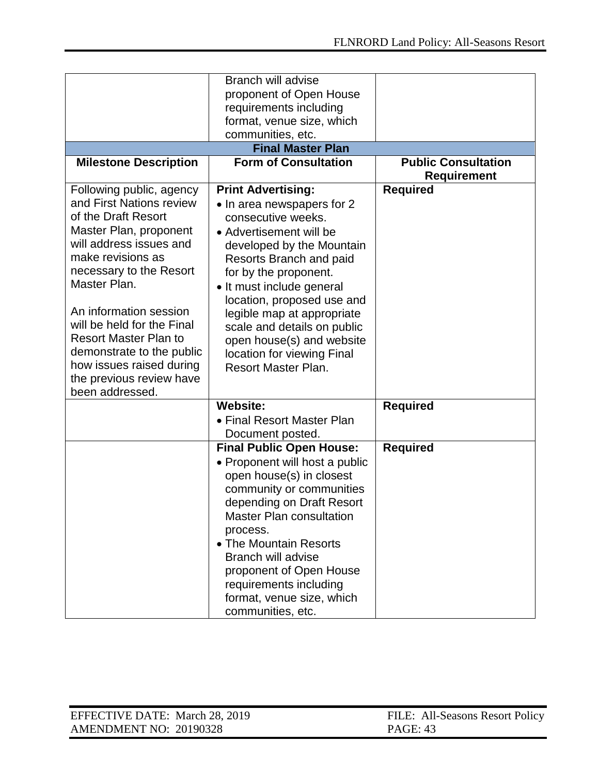|                                                                                                                                                                                                                                                                                                                                                                                                  | <b>Branch will advise</b><br>proponent of Open House<br>requirements including<br>format, venue size, which<br>communities, etc.                                                                                                                                                                                                                                                                           |                            |
|--------------------------------------------------------------------------------------------------------------------------------------------------------------------------------------------------------------------------------------------------------------------------------------------------------------------------------------------------------------------------------------------------|------------------------------------------------------------------------------------------------------------------------------------------------------------------------------------------------------------------------------------------------------------------------------------------------------------------------------------------------------------------------------------------------------------|----------------------------|
|                                                                                                                                                                                                                                                                                                                                                                                                  | <b>Final Master Plan</b>                                                                                                                                                                                                                                                                                                                                                                                   |                            |
| <b>Milestone Description</b>                                                                                                                                                                                                                                                                                                                                                                     | <b>Form of Consultation</b>                                                                                                                                                                                                                                                                                                                                                                                | <b>Public Consultation</b> |
|                                                                                                                                                                                                                                                                                                                                                                                                  |                                                                                                                                                                                                                                                                                                                                                                                                            | <b>Requirement</b>         |
| Following public, agency<br>and First Nations review<br>of the Draft Resort<br>Master Plan, proponent<br>will address issues and<br>make revisions as<br>necessary to the Resort<br>Master Plan.<br>An information session<br>will be held for the Final<br><b>Resort Master Plan to</b><br>demonstrate to the public<br>how issues raised during<br>the previous review have<br>been addressed. | <b>Print Advertising:</b><br>• In area newspapers for 2<br>consecutive weeks.<br>• Advertisement will be<br>developed by the Mountain<br>Resorts Branch and paid<br>for by the proponent.<br>• It must include general<br>location, proposed use and<br>legible map at appropriate<br>scale and details on public<br>open house(s) and website<br>location for viewing Final<br><b>Resort Master Plan.</b> | <b>Required</b>            |
|                                                                                                                                                                                                                                                                                                                                                                                                  | <b>Website:</b><br>• Final Resort Master Plan                                                                                                                                                                                                                                                                                                                                                              | <b>Required</b>            |
|                                                                                                                                                                                                                                                                                                                                                                                                  | Document posted.<br><b>Final Public Open House:</b>                                                                                                                                                                                                                                                                                                                                                        | <b>Required</b>            |
|                                                                                                                                                                                                                                                                                                                                                                                                  | • Proponent will host a public<br>open house(s) in closest<br>community or communities<br>depending on Draft Resort<br><b>Master Plan consultation</b><br>process.<br>• The Mountain Resorts<br><b>Branch will advise</b><br>proponent of Open House<br>requirements including<br>format, venue size, which<br>communities, etc.                                                                           |                            |

| EFFECTIVE DATE: March 28, 2019 | FILE: All-Seasons Resort Policy |
|--------------------------------|---------------------------------|
| AMENDMENT NO: 20190328         | <b>PAGE: 43</b>                 |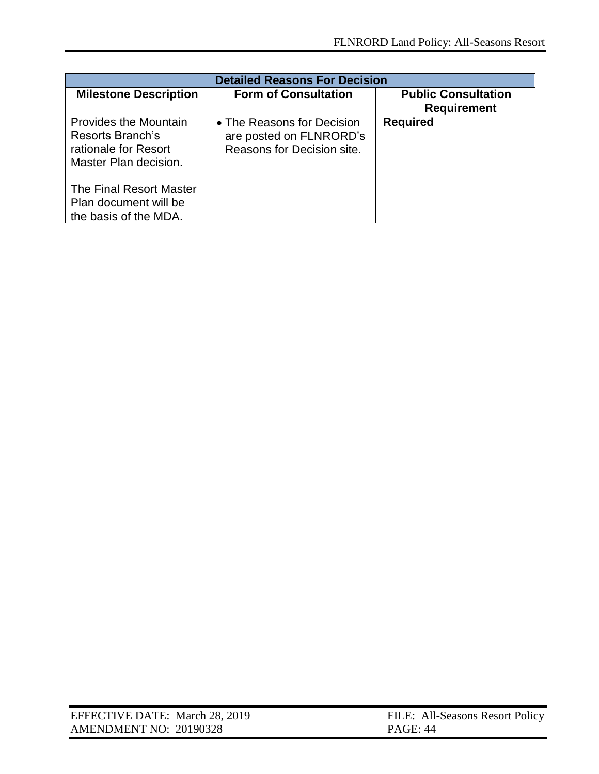| <b>Detailed Reasons For Decision</b>                                                              |                                                                                     |                                                  |  |
|---------------------------------------------------------------------------------------------------|-------------------------------------------------------------------------------------|--------------------------------------------------|--|
| <b>Milestone Description</b>                                                                      | <b>Form of Consultation</b>                                                         | <b>Public Consultation</b><br><b>Requirement</b> |  |
| <b>Provides the Mountain</b><br>Resorts Branch's<br>rationale for Resort<br>Master Plan decision. | • The Reasons for Decision<br>are posted on FLNRORD's<br>Reasons for Decision site. | <b>Required</b>                                  |  |
| The Final Resort Master<br>Plan document will be<br>the basis of the MDA.                         |                                                                                     |                                                  |  |

| EFFECTIVE DATE: March 28, 2019 | FILE: All-Seasons Resort Policy |
|--------------------------------|---------------------------------|
| AMENDMENT NO: 20190328         | PAGE: 44                        |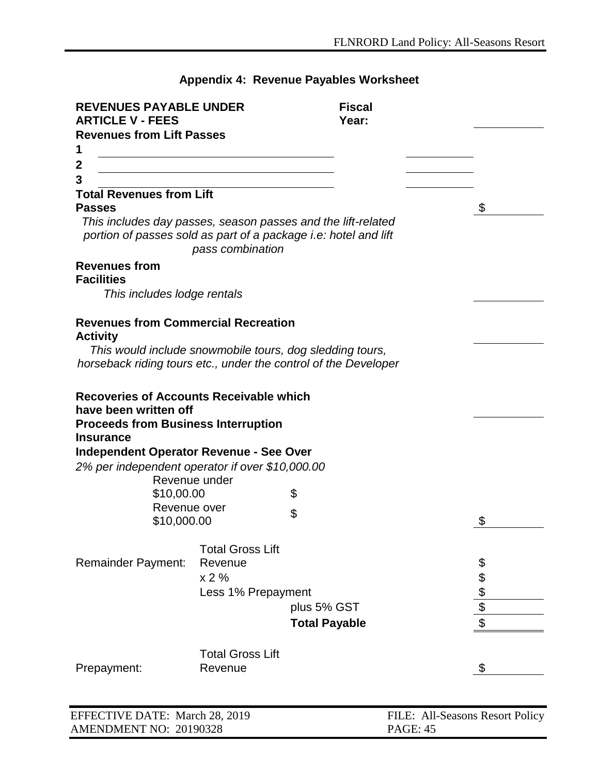# **Appendix 4: Revenue Payables Worksheet**

<span id="page-44-0"></span>

| <b>REVENUES PAYABLE UNDER</b><br><b>ARTICLE V - FEES</b>                |                         | <b>Fiscal</b><br>Year:                                                                                                          |                                 |
|-------------------------------------------------------------------------|-------------------------|---------------------------------------------------------------------------------------------------------------------------------|---------------------------------|
| <b>Revenues from Lift Passes</b>                                        |                         |                                                                                                                                 |                                 |
| 1                                                                       |                         |                                                                                                                                 |                                 |
| 2                                                                       |                         |                                                                                                                                 |                                 |
| 3                                                                       |                         |                                                                                                                                 |                                 |
| <b>Total Revenues from Lift</b><br><b>Passes</b>                        |                         |                                                                                                                                 | \$                              |
|                                                                         | pass combination        | This includes day passes, season passes and the lift-related<br>portion of passes sold as part of a package i.e: hotel and lift |                                 |
| <b>Revenues from</b>                                                    |                         |                                                                                                                                 |                                 |
| <b>Facilities</b>                                                       |                         |                                                                                                                                 |                                 |
| This includes lodge rentals                                             |                         |                                                                                                                                 |                                 |
| <b>Revenues from Commercial Recreation</b><br><b>Activity</b>           |                         |                                                                                                                                 |                                 |
|                                                                         |                         | This would include snowmobile tours, dog sledding tours,<br>horseback riding tours etc., under the control of the Developer     |                                 |
| <b>Recoveries of Accounts Receivable which</b><br>have been written off |                         |                                                                                                                                 |                                 |
| <b>Proceeds from Business Interruption</b><br><b>Insurance</b>          |                         |                                                                                                                                 |                                 |
| <b>Independent Operator Revenue - See Over</b>                          |                         |                                                                                                                                 |                                 |
| 2% per independent operator if over \$10,000.00                         |                         |                                                                                                                                 |                                 |
|                                                                         | Revenue under           |                                                                                                                                 |                                 |
| \$10,00.00<br>Revenue over                                              |                         | \$                                                                                                                              |                                 |
| \$10,000.00                                                             |                         | \$                                                                                                                              | \$                              |
|                                                                         | <b>Total Gross Lift</b> |                                                                                                                                 |                                 |
| <b>Remainder Payment:</b>                                               | Revenue                 |                                                                                                                                 |                                 |
|                                                                         | x 2%                    |                                                                                                                                 | \$\$                            |
|                                                                         | Less 1% Prepayment      |                                                                                                                                 |                                 |
|                                                                         |                         | plus 5% GST                                                                                                                     | \$                              |
|                                                                         |                         | <b>Total Payable</b>                                                                                                            | \$                              |
|                                                                         | <b>Total Gross Lift</b> |                                                                                                                                 |                                 |
| Prepayment:                                                             | Revenue                 |                                                                                                                                 | \$                              |
|                                                                         |                         |                                                                                                                                 |                                 |
| EFFECTIVE DATE: March 28, 2019                                          |                         |                                                                                                                                 | FILE: All-Seasons Resort Policy |
| AMENDMENT NO: 20190328                                                  |                         | <b>PAGE: 45</b>                                                                                                                 |                                 |

 $\blacksquare$